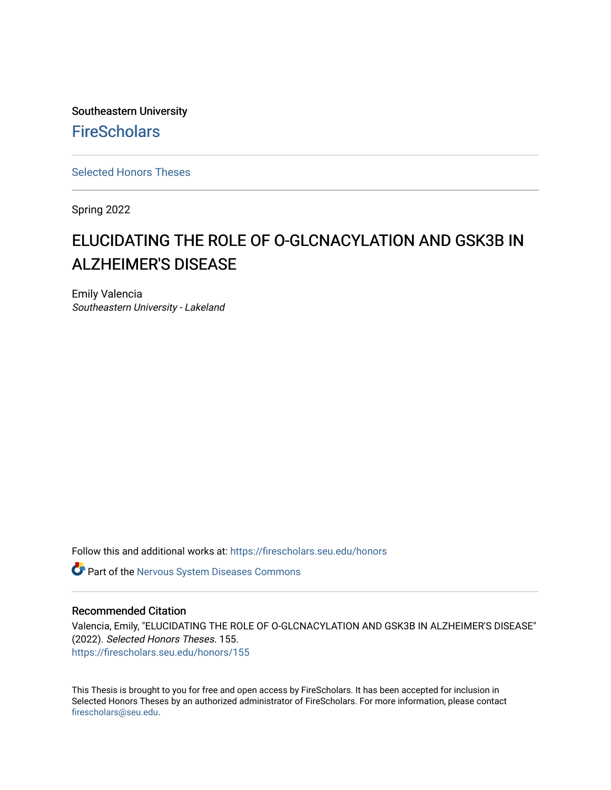Southeastern University **FireScholars** 

[Selected Honors Theses](https://firescholars.seu.edu/honors)

Spring 2022

# ELUCIDATING THE ROLE OF O-GLCNACYLATION AND GSK3B IN ALZHEIMER'S DISEASE

Emily Valencia Southeastern University - Lakeland

Follow this and additional works at: [https://firescholars.seu.edu/honors](https://firescholars.seu.edu/honors?utm_source=firescholars.seu.edu%2Fhonors%2F155&utm_medium=PDF&utm_campaign=PDFCoverPages)

**C** Part of the [Nervous System Diseases Commons](https://network.bepress.com/hgg/discipline/928?utm_source=firescholars.seu.edu%2Fhonors%2F155&utm_medium=PDF&utm_campaign=PDFCoverPages)

#### Recommended Citation

Valencia, Emily, "ELUCIDATING THE ROLE OF O-GLCNACYLATION AND GSK3B IN ALZHEIMER'S DISEASE" (2022). Selected Honors Theses. 155. [https://firescholars.seu.edu/honors/155](https://firescholars.seu.edu/honors/155?utm_source=firescholars.seu.edu%2Fhonors%2F155&utm_medium=PDF&utm_campaign=PDFCoverPages)

This Thesis is brought to you for free and open access by FireScholars. It has been accepted for inclusion in Selected Honors Theses by an authorized administrator of FireScholars. For more information, please contact [firescholars@seu.edu.](mailto:firescholars@seu.edu)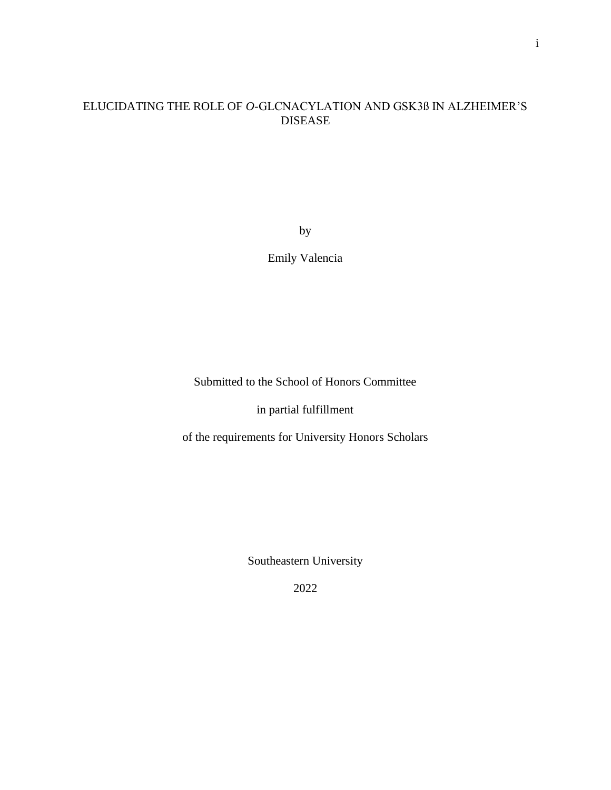# ELUCIDATING THE ROLE OF *O*-GLCNACYLATION AND GSK3ß IN ALZHEIMER'S DISEASE

by

Emily Valencia

Submitted to the School of Honors Committee

in partial fulfillment

of the requirements for University Honors Scholars

Southeastern University

2022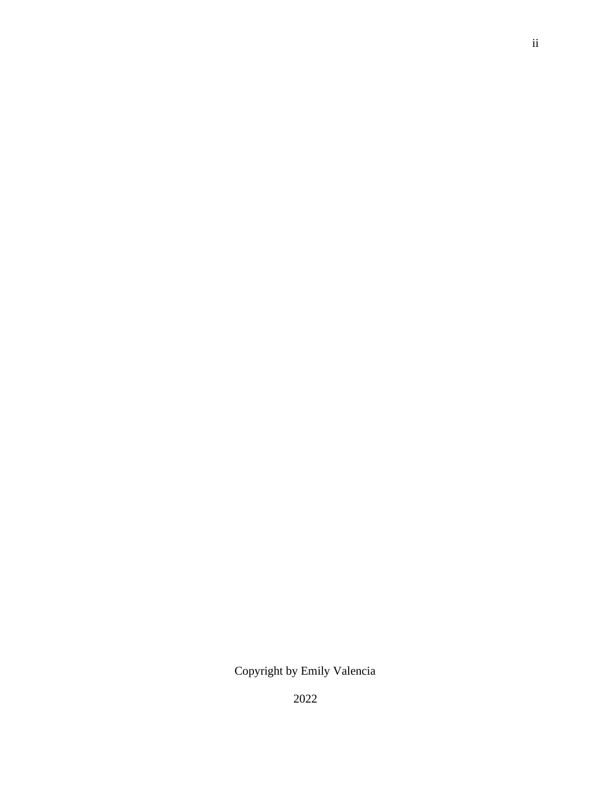# Copyright by Emily Valencia

2022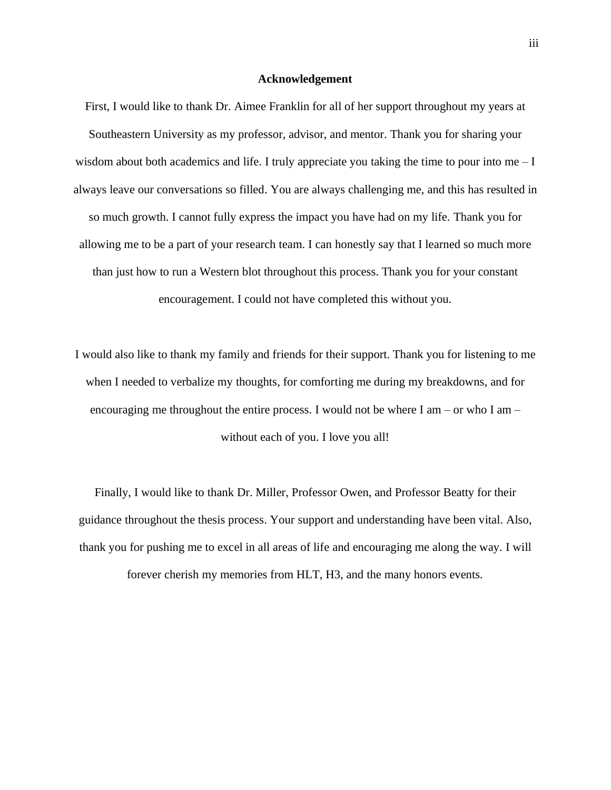#### **Acknowledgement**

First, I would like to thank Dr. Aimee Franklin for all of her support throughout my years at Southeastern University as my professor, advisor, and mentor. Thank you for sharing your wisdom about both academics and life. I truly appreciate you taking the time to pour into me  $-I$ always leave our conversations so filled. You are always challenging me, and this has resulted in so much growth. I cannot fully express the impact you have had on my life. Thank you for allowing me to be a part of your research team. I can honestly say that I learned so much more than just how to run a Western blot throughout this process. Thank you for your constant encouragement. I could not have completed this without you.

I would also like to thank my family and friends for their support. Thank you for listening to me when I needed to verbalize my thoughts, for comforting me during my breakdowns, and for encouraging me throughout the entire process. I would not be where I am – or who I am – without each of you. I love you all!

Finally, I would like to thank Dr. Miller, Professor Owen, and Professor Beatty for their guidance throughout the thesis process. Your support and understanding have been vital. Also, thank you for pushing me to excel in all areas of life and encouraging me along the way. I will

forever cherish my memories from HLT, H3, and the many honors events.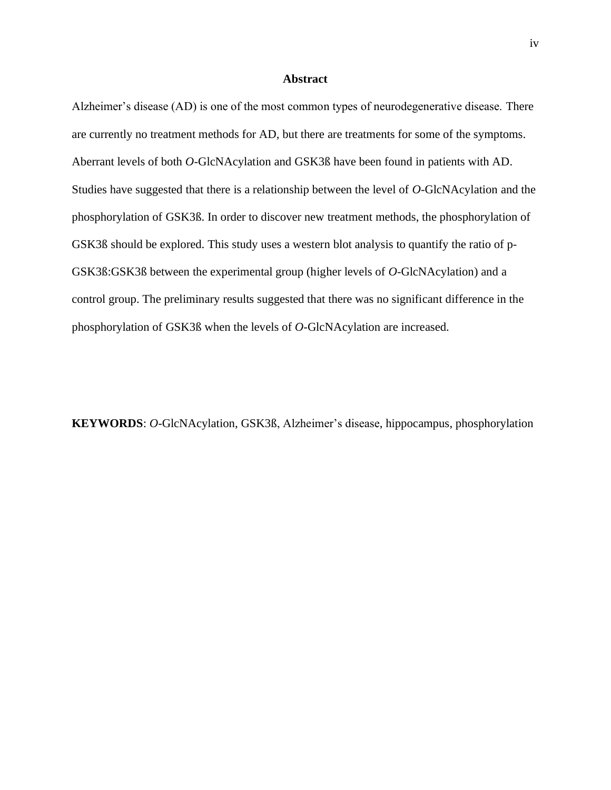#### **Abstract**

Alzheimer's disease (AD) is one of the most common types of neurodegenerative disease. There are currently no treatment methods for AD, but there are treatments for some of the symptoms. Aberrant levels of both *O*-GlcNAcylation and GSK3ß have been found in patients with AD. Studies have suggested that there is a relationship between the level of *O*-GlcNAcylation and the phosphorylation of GSK3ß. In order to discover new treatment methods, the phosphorylation of GSK3ß should be explored. This study uses a western blot analysis to quantify the ratio of p-GSK3ß:GSK3ß between the experimental group (higher levels of *O*-GlcNAcylation) and a control group. The preliminary results suggested that there was no significant difference in the phosphorylation of GSK3ß when the levels of *O*-GlcNAcylation are increased.

**KEYWORDS**: *O*-GlcNAcylation, GSK3ß, Alzheimer's disease, hippocampus, phosphorylation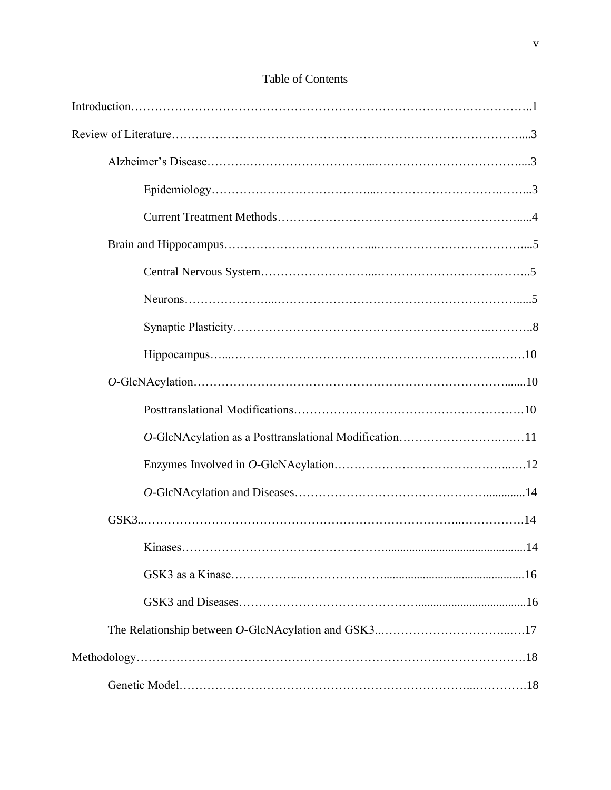| O-GlcNAcylation as a Posttranslational Modification11 |
|-------------------------------------------------------|
|                                                       |
|                                                       |
|                                                       |
| .14                                                   |
|                                                       |
|                                                       |
|                                                       |
|                                                       |
|                                                       |

# Table of Contents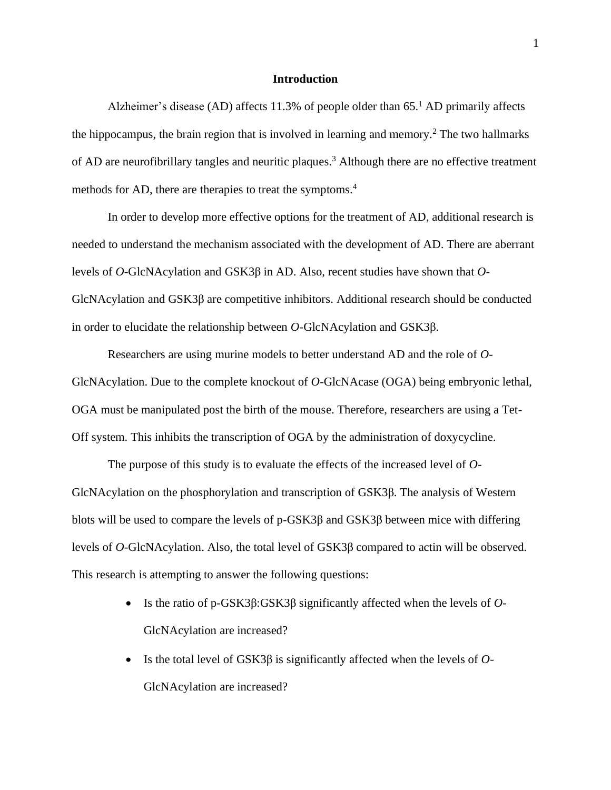#### **Introduction**

Alzheimer's disease (AD) affects  $11.3\%$  of people older than 65.<sup>1</sup> AD primarily affects the hippocampus, the brain region that is involved in learning and memory.<sup>2</sup> The two hallmarks of AD are neurofibrillary tangles and neuritic plaques.<sup>3</sup> Although there are no effective treatment methods for AD, there are therapies to treat the symptoms. 4

In order to develop more effective options for the treatment of AD, additional research is needed to understand the mechanism associated with the development of AD. There are aberrant levels of *O*-GlcNAcylation and GSK3β in AD. Also, recent studies have shown that *O*-GlcNAcylation and GSK3β are competitive inhibitors. Additional research should be conducted in order to elucidate the relationship between *O*-GlcNAcylation and GSK3β.

Researchers are using murine models to better understand AD and the role of *O*-GlcNAcylation. Due to the complete knockout of *O*-GlcNAcase (OGA) being embryonic lethal, OGA must be manipulated post the birth of the mouse. Therefore, researchers are using a Tet-Off system. This inhibits the transcription of OGA by the administration of doxycycline.

The purpose of this study is to evaluate the effects of the increased level of *O*-GlcNAcylation on the phosphorylation and transcription of GSK3β. The analysis of Western blots will be used to compare the levels of  $p$ -GSK3 $\beta$  and GSK3 $\beta$  between mice with differing levels of *O*-GlcNAcylation. Also, the total level of GSK3β compared to actin will be observed. This research is attempting to answer the following questions:

- Is the ratio of p-GSK3β:GSK3β significantly affected when the levels of *O*-GlcNAcylation are increased?
- Is the total level of GSK3β is significantly affected when the levels of *O*-GlcNAcylation are increased?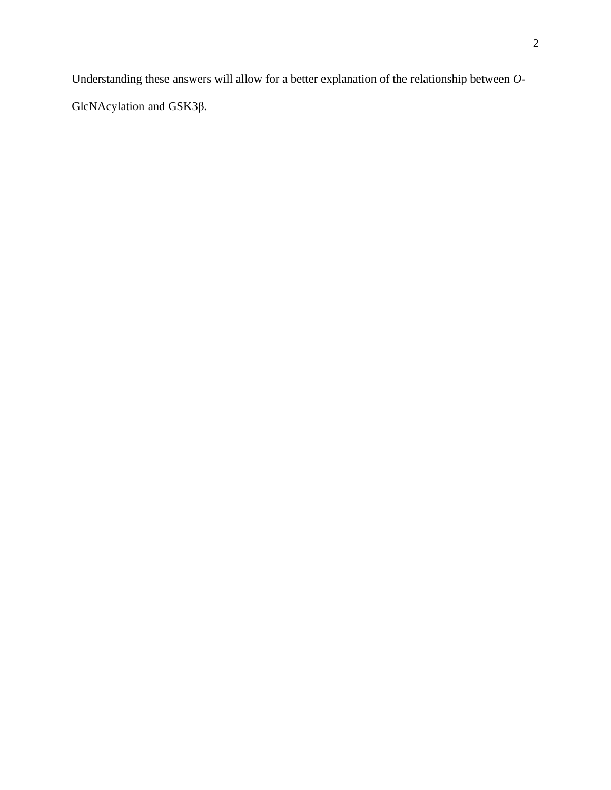Understanding these answers will allow for a better explanation of the relationship between *O*-GlcNAcylation and GSK3β.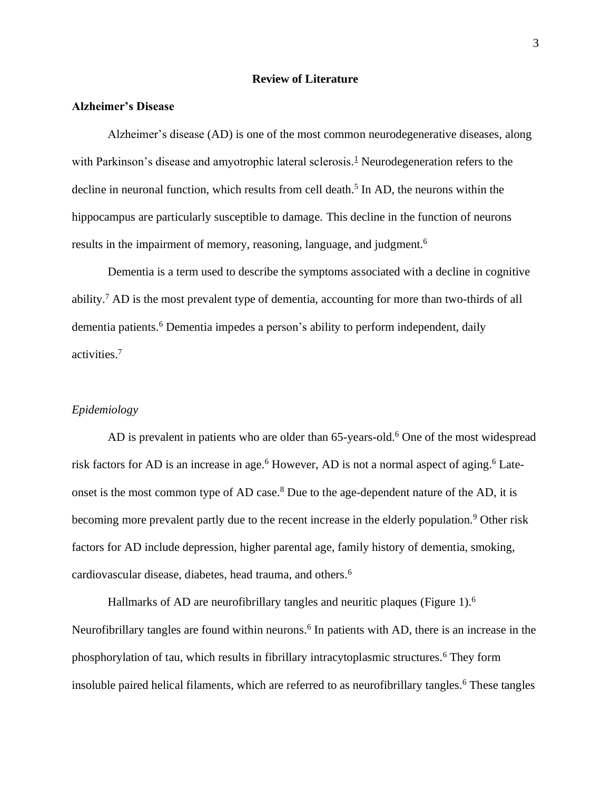#### **Review of Literature**

### **Alzheimer's Disease**

Alzheimer's disease (AD) is one of the most common neurodegenerative diseases, along with Parkinson's disease and amyotrophic lateral sclerosis.<sup>1</sup> Neurodegeneration refers to the decline in neuronal function, which results from cell death.<sup>5</sup> In AD, the neurons within the hippocampus are particularly susceptible to damage. This decline in the function of neurons results in the impairment of memory, reasoning, language, and judgment.<sup>6</sup>

Dementia is a term used to describe the symptoms associated with a decline in cognitive ability.<sup>7</sup> AD is the most prevalent type of dementia, accounting for more than two-thirds of all dementia patients.<sup>6</sup> Dementia impedes a person's ability to perform independent, daily activities.<sup>7</sup>

#### *Epidemiology*

AD is prevalent in patients who are older than  $65$ -years-old.<sup>6</sup> One of the most widespread risk factors for AD is an increase in age.<sup>6</sup> However, AD is not a normal aspect of aging.<sup>6</sup> Lateonset is the most common type of AD case.<sup>8</sup> Due to the age-dependent nature of the AD, it is becoming more prevalent partly due to the recent increase in the elderly population.<sup>9</sup> Other risk factors for AD include depression, higher parental age, family history of dementia, smoking, cardiovascular disease, diabetes, head trauma, and others.<sup>6</sup>

Hallmarks of AD are neurofibrillary tangles and neuritic plaques (Figure 1).<sup>6</sup> Neurofibrillary tangles are found within neurons.<sup>6</sup> In patients with AD, there is an increase in the phosphorylation of tau, which results in fibrillary intracytoplasmic structures.<sup>6</sup> They form insoluble paired helical filaments, which are referred to as neurofibrillary tangles.<sup>6</sup> These tangles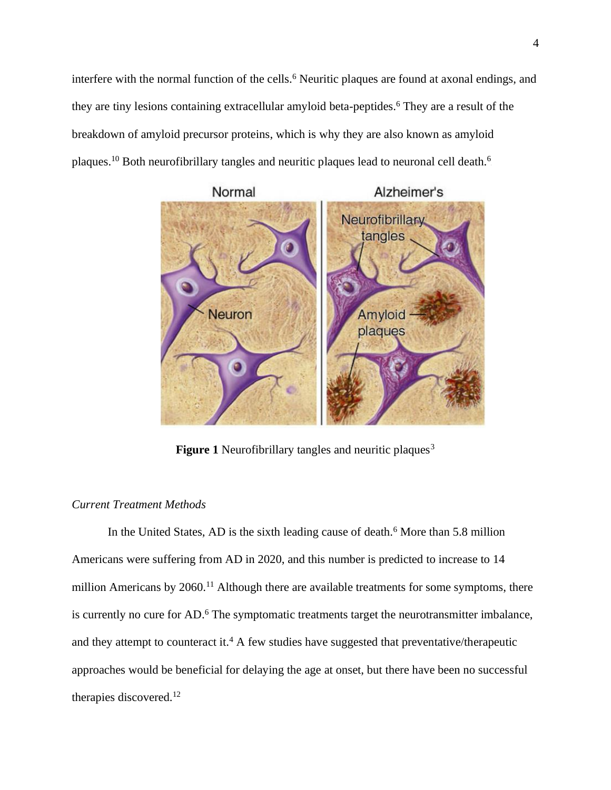interfere with the normal function of the cells.<sup>6</sup> Neuritic plaques are found at axonal endings, and they are tiny lesions containing extracellular amyloid beta-peptides.<sup>6</sup> They are a result of the breakdown of amyloid precursor proteins, which is why they are also known as amyloid plaques.<sup>10</sup> Both neurofibrillary tangles and neuritic plaques lead to neuronal cell death.<sup>6</sup>



**Figure 1** Neurofibrillary tangles and neuritic plaques<sup>3</sup>

# *Current Treatment Methods*

In the United States, AD is the sixth leading cause of death.<sup>6</sup> More than 5.8 million Americans were suffering from AD in 2020, and this number is predicted to increase to 14 million Americans by  $2060$ .<sup>11</sup> Although there are available treatments for some symptoms, there is currently no cure for AD.<sup>6</sup> The symptomatic treatments target the neurotransmitter imbalance, and they attempt to counteract it.<sup>4</sup> A few studies have suggested that preventative/therapeutic approaches would be beneficial for delaying the age at onset, but there have been no successful therapies discovered.12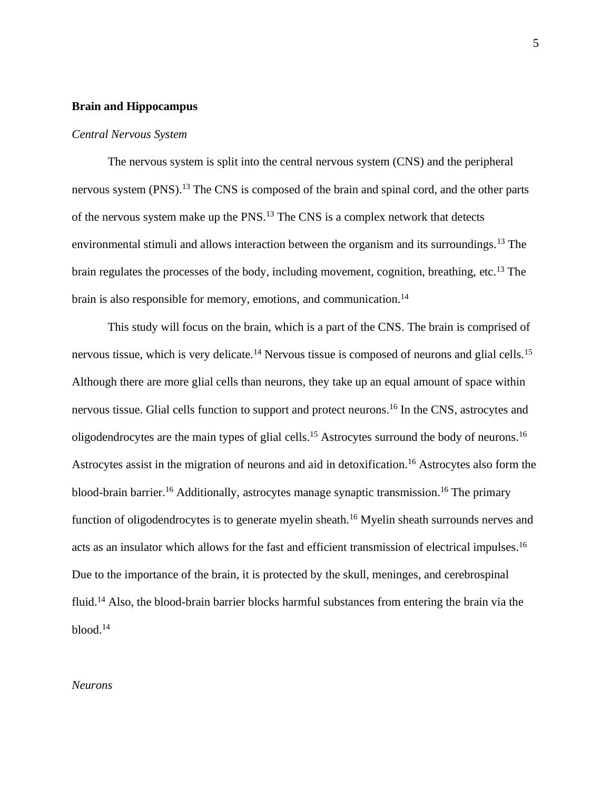#### **Brain and Hippocampus**

#### *Central Nervous System*

The nervous system is split into the central nervous system (CNS) and the peripheral nervous system (PNS).<sup>13</sup> The CNS is composed of the brain and spinal cord, and the other parts of the nervous system make up the PNS.<sup>13</sup> The CNS is a complex network that detects environmental stimuli and allows interaction between the organism and its surroundings.<sup>13</sup> The brain regulates the processes of the body, including movement, cognition, breathing, etc.<sup>13</sup> The brain is also responsible for memory, emotions, and communication.<sup>14</sup>

This study will focus on the brain, which is a part of the CNS. The brain is comprised of nervous tissue, which is very delicate.<sup>14</sup> Nervous tissue is composed of neurons and glial cells.<sup>15</sup> Although there are more glial cells than neurons, they take up an equal amount of space within nervous tissue. Glial cells function to support and protect neurons.<sup>16</sup> In the CNS, astrocytes and oligodendrocytes are the main types of glial cells.<sup>15</sup> Astrocytes surround the body of neurons.<sup>16</sup> Astrocytes assist in the migration of neurons and aid in detoxification.<sup>16</sup> Astrocytes also form the blood-brain barrier.<sup>16</sup> Additionally, astrocytes manage synaptic transmission.<sup>16</sup> The primary function of oligodendrocytes is to generate myelin sheath.<sup>16</sup> Myelin sheath surrounds nerves and acts as an insulator which allows for the fast and efficient transmission of electrical impulses.<sup>16</sup> Due to the importance of the brain, it is protected by the skull, meninges, and cerebrospinal fluid.<sup>14</sup> Also, the blood-brain barrier blocks harmful substances from entering the brain via the blood.<sup>14</sup>

#### *Neurons*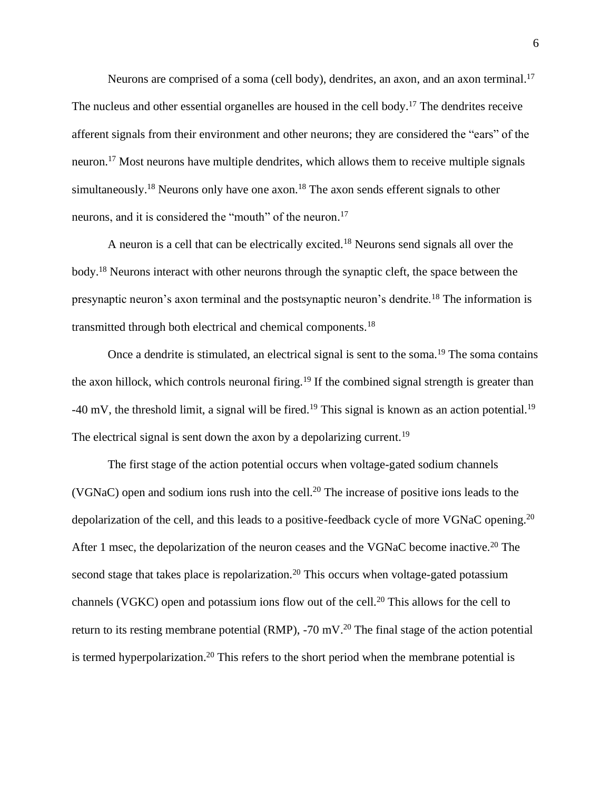Neurons are comprised of a soma (cell body), dendrites, an axon, and an axon terminal.<sup>17</sup> The nucleus and other essential organelles are housed in the cell body.<sup>17</sup> The dendrites receive afferent signals from their environment and other neurons; they are considered the "ears" of the neuron.<sup>17</sup> Most neurons have multiple dendrites, which allows them to receive multiple signals simultaneously.<sup>18</sup> Neurons only have one axon.<sup>18</sup> The axon sends efferent signals to other neurons, and it is considered the "mouth" of the neuron.<sup>17</sup>

A neuron is a cell that can be electrically excited.<sup>18</sup> Neurons send signals all over the body.<sup>18</sup> Neurons interact with other neurons through the synaptic cleft, the space between the presynaptic neuron's axon terminal and the postsynaptic neuron's dendrite.<sup>18</sup> The information is transmitted through both electrical and chemical components.<sup>18</sup>

Once a dendrite is stimulated, an electrical signal is sent to the soma.<sup>19</sup> The soma contains the axon hillock, which controls neuronal firing.<sup>19</sup> If the combined signal strength is greater than  $-40$  mV, the threshold limit, a signal will be fired.<sup>19</sup> This signal is known as an action potential.<sup>19</sup> The electrical signal is sent down the axon by a depolarizing current.<sup>19</sup>

The first stage of the action potential occurs when voltage-gated sodium channels (VGNaC) open and sodium ions rush into the cell.<sup>20</sup> The increase of positive ions leads to the depolarization of the cell, and this leads to a positive-feedback cycle of more VGNaC opening.<sup>20</sup> After 1 msec, the depolarization of the neuron ceases and the VGNaC become inactive.<sup>20</sup> The second stage that takes place is repolarization.<sup>20</sup> This occurs when voltage-gated potassium channels (VGKC) open and potassium ions flow out of the cell.<sup>20</sup> This allows for the cell to return to its resting membrane potential (RMP),  $-70 \text{ mV}$ .<sup>20</sup> The final stage of the action potential is termed hyperpolarization.<sup>20</sup> This refers to the short period when the membrane potential is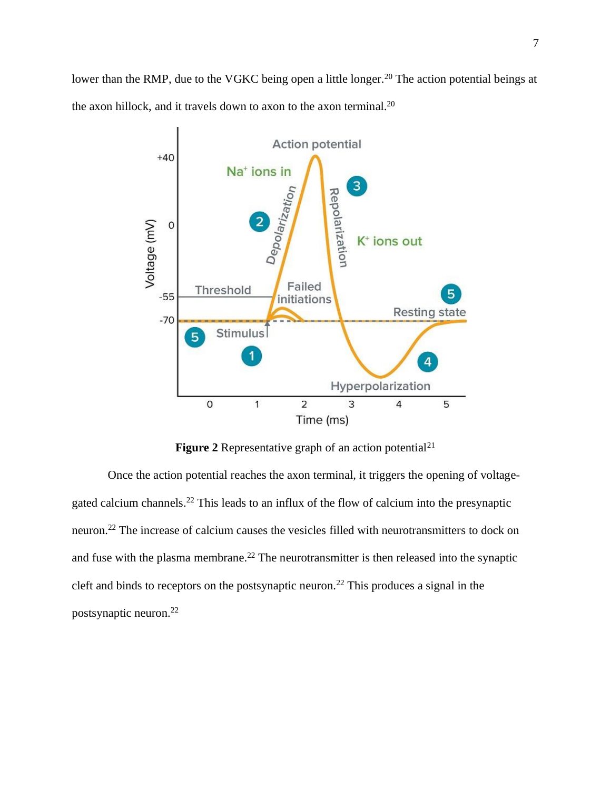lower than the RMP, due to the VGKC being open a little longer.<sup>20</sup> The action potential beings at the axon hillock, and it travels down to axon to the axon terminal.<sup>20</sup>



**Figure 2** Representative graph of an action potential<sup>21</sup>

Once the action potential reaches the axon terminal, it triggers the opening of voltagegated calcium channels.<sup>22</sup> This leads to an influx of the flow of calcium into the presynaptic neuron.<sup>22</sup> The increase of calcium causes the vesicles filled with neurotransmitters to dock on and fuse with the plasma membrane.<sup>22</sup> The neurotransmitter is then released into the synaptic cleft and binds to receptors on the postsynaptic neuron.<sup>22</sup> This produces a signal in the postsynaptic neuron.22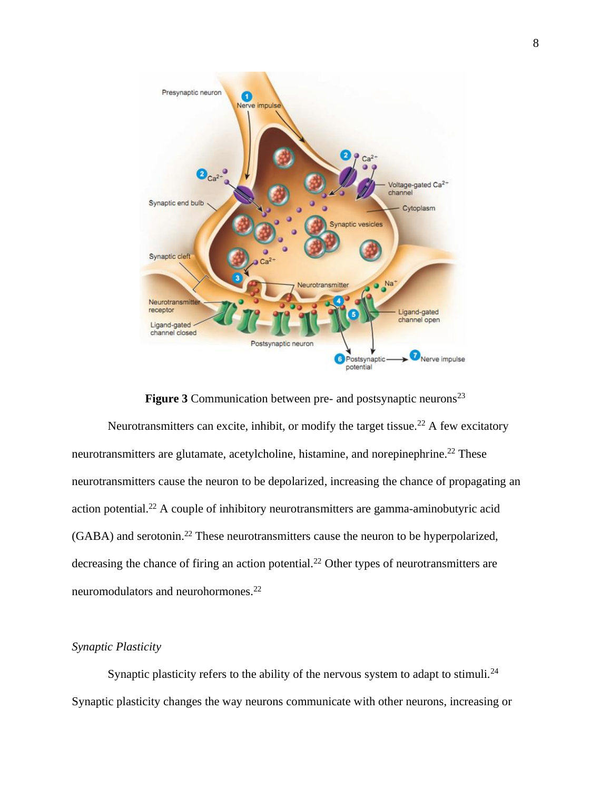

**Figure 3** Communication between pre- and postsynaptic neurons<sup>23</sup> Neurotransmitters can excite, inhibit, or modify the target tissue.<sup>22</sup> A few excitatory neurotransmitters are glutamate, acetylcholine, histamine, and norepinephrine.<sup>22</sup> These neurotransmitters cause the neuron to be depolarized, increasing the chance of propagating an action potential.<sup>22</sup> A couple of inhibitory neurotransmitters are gamma-aminobutyric acid (GABA) and serotonin.<sup>22</sup> These neurotransmitters cause the neuron to be hyperpolarized, decreasing the chance of firing an action potential.<sup>22</sup> Other types of neurotransmitters are neuromodulators and neurohormones.<sup>22</sup>

# *Synaptic Plasticity*

Synaptic plasticity refers to the ability of the nervous system to adapt to stimuli.<sup>24</sup> Synaptic plasticity changes the way neurons communicate with other neurons, increasing or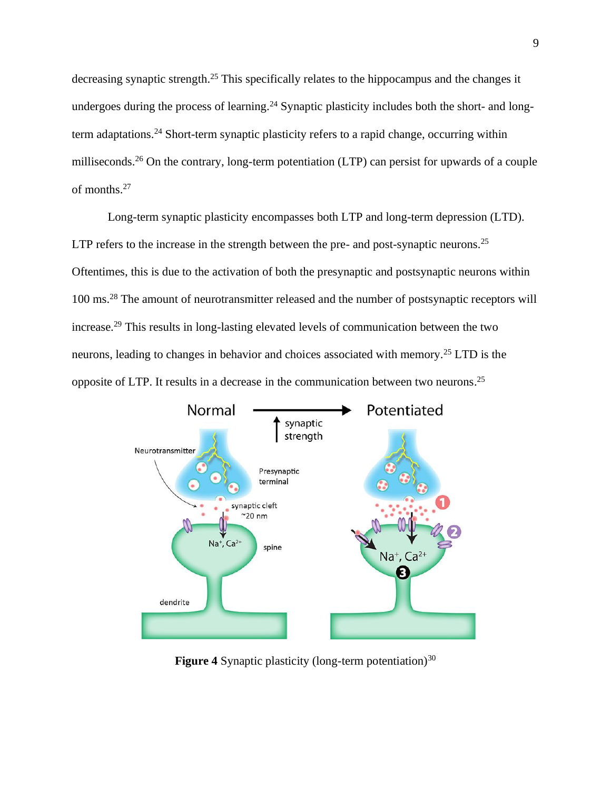decreasing synaptic strength.<sup>25</sup> This specifically relates to the hippocampus and the changes it undergoes during the process of learning.<sup>24</sup> Synaptic plasticity includes both the short- and longterm adaptations.<sup>24</sup> Short-term synaptic plasticity refers to a rapid change, occurring within milliseconds.<sup>26</sup> On the contrary, long-term potentiation (LTP) can persist for upwards of a couple of months. 27

Long-term synaptic plasticity encompasses both LTP and long-term depression (LTD). LTP refers to the increase in the strength between the pre- and post-synaptic neurons.<sup>25</sup> Oftentimes, this is due to the activation of both the presynaptic and postsynaptic neurons within 100 ms.<sup>28</sup> The amount of neurotransmitter released and the number of postsynaptic receptors will increase.<sup>29</sup> This results in long-lasting elevated levels of communication between the two neurons, leading to changes in behavior and choices associated with memory.<sup>25</sup> LTD is the opposite of LTP. It results in a decrease in the communication between two neurons. 25



**Figure 4** Synaptic plasticity (long-term potentiation)<sup>30</sup>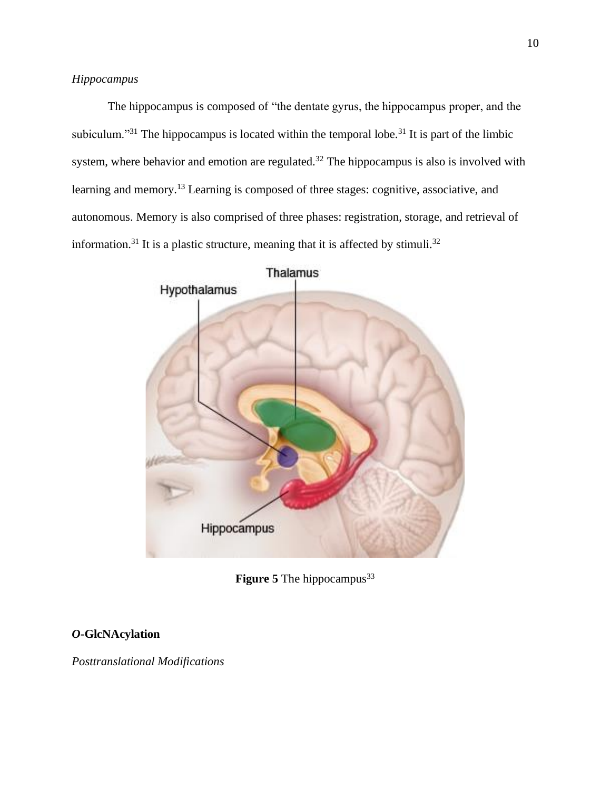The hippocampus is composed of "the dentate gyrus, the hippocampus proper, and the subiculum."<sup>31</sup> The hippocampus is located within the temporal lobe.<sup>31</sup> It is part of the limbic system, where behavior and emotion are regulated.<sup>32</sup> The hippocampus is also is involved with learning and memory.<sup>13</sup> Learning is composed of three stages: cognitive, associative, and autonomous. Memory is also comprised of three phases: registration, storage, and retrieval of information.<sup>31</sup> It is a plastic structure, meaning that it is affected by stimuli.<sup>32</sup>



**Figure 5** The hippocampus<sup>33</sup>

# *O***-GlcNAcylation**

*Posttranslational Modifications*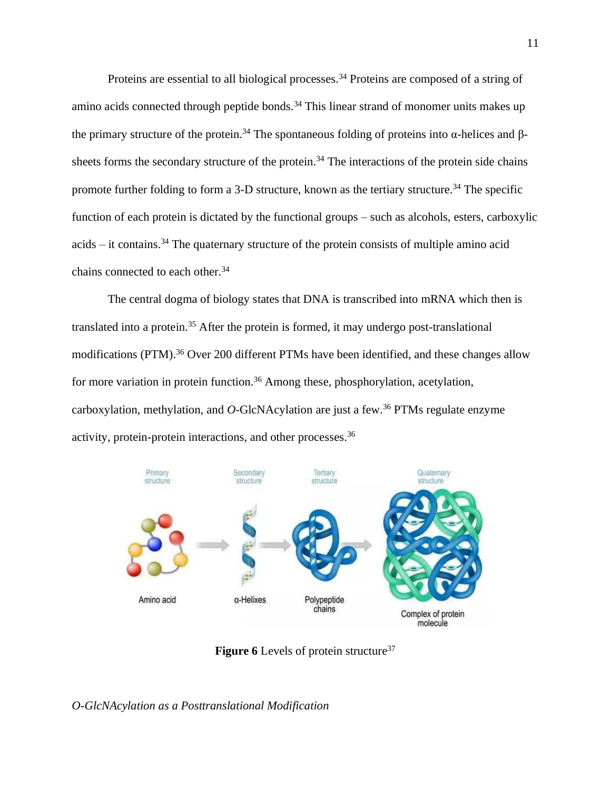Proteins are essential to all biological processes.<sup>34</sup> Proteins are composed of a string of amino acids connected through peptide bonds.<sup>34</sup> This linear strand of monomer units makes up the primary structure of the protein.<sup>34</sup> The spontaneous folding of proteins into  $\alpha$ -helices and βsheets forms the secondary structure of the protein.<sup>34</sup> The interactions of the protein side chains promote further folding to form a 3-D structure, known as the tertiary structure.<sup>34</sup> The specific function of each protein is dictated by the functional groups – such as alcohols, esters, carboxylic  $acids - it contains.<sup>34</sup> The quaternary structure of the protein consists of multiple amino acid$ chains connected to each other.<sup>34</sup>

The central dogma of biology states that DNA is transcribed into mRNA which then is translated into a protein.<sup>35</sup> After the protein is formed, it may undergo post-translational modifications (PTM).<sup>36</sup> Over 200 different PTMs have been identified, and these changes allow for more variation in protein function.<sup>36</sup> Among these, phosphorylation, acetylation, carboxylation, methylation, and *O*-GlcNAcylation are just a few.<sup>36</sup> PTMs regulate enzyme activity, protein-protein interactions, and other processes.<sup>36</sup>



**Figure 6** Levels of protein structure<sup>37</sup>

*O-GlcNAcylation as a Posttranslational Modification*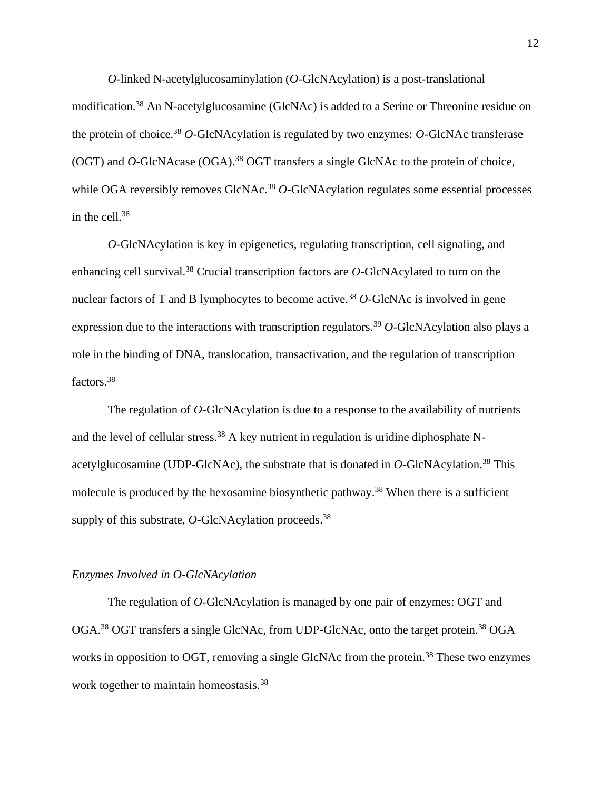*O*-linked N-acetylglucosaminylation (*O*-GlcNAcylation) is a post-translational modification.<sup>38</sup> An N-acetylglucosamine (GlcNAc) is added to a Serine or Threonine residue on the protein of choice. <sup>38</sup> *O*-GlcNAcylation is regulated by two enzymes: *O*-GlcNAc transferase (OGT) and *O*-GlcNAcase (OGA).<sup>38</sup> OGT transfers a single GlcNAc to the protein of choice, while OGA reversibly removes GlcNAc.<sup>38</sup> *O*-GlcNAcylation regulates some essential processes in the cell. 38

*O*-GlcNAcylation is key in epigenetics, regulating transcription, cell signaling, and enhancing cell survival.<sup>38</sup> Crucial transcription factors are *O*-GlcNAcylated to turn on the nuclear factors of T and B lymphocytes to become active.<sup>38</sup> O-GlcNAc is involved in gene expression due to the interactions with transcription regulators.<sup>39</sup> O-GlcNAcylation also plays a role in the binding of DNA, translocation, transactivation, and the regulation of transcription factors.<sup>38</sup>

The regulation of *O*-GlcNAcylation is due to a response to the availability of nutrients and the level of cellular stress.<sup>38</sup> A key nutrient in regulation is uridine diphosphate Nacetylglucosamine (UDP-GlcNAc), the substrate that is donated in *O*-GlcNAcylation.<sup>38</sup> This molecule is produced by the hexosamine biosynthetic pathway.<sup>38</sup> When there is a sufficient supply of this substrate, *O*-GlcNAcylation proceeds.<sup>38</sup>

#### *Enzymes Involved in O-GlcNAcylation*

The regulation of *O*-GlcNAcylation is managed by one pair of enzymes: OGT and OGA.<sup>38</sup> OGT transfers a single GlcNAc, from UDP-GlcNAc, onto the target protein.<sup>38</sup> OGA works in opposition to OGT, removing a single GlcNAc from the protein.<sup>38</sup> These two enzymes work together to maintain homeostasis.<sup>38</sup>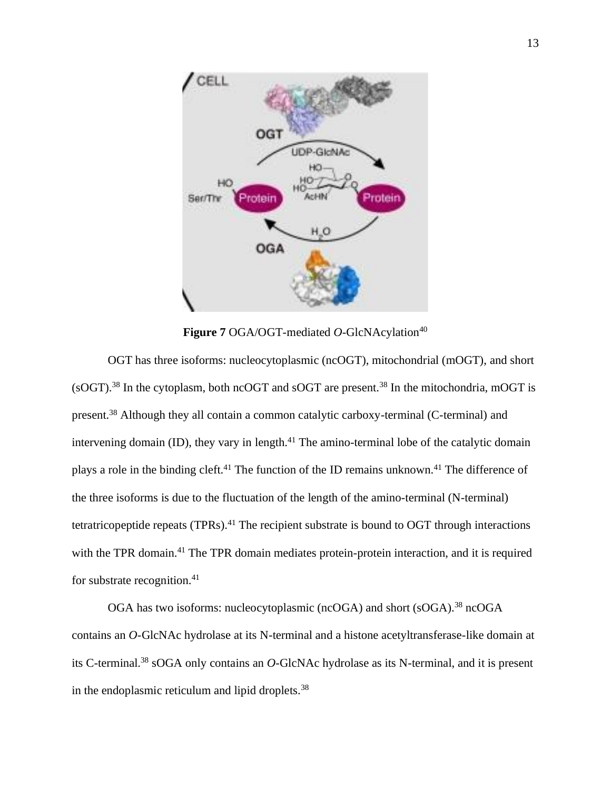

Figure 7 OGA/OGT-mediated O-GlcNAcylation<sup>40</sup>

OGT has three isoforms: nucleocytoplasmic (ncOGT), mitochondrial (mOGT), and short  $(SOGT)$ <sup>38</sup>. In the cytoplasm, both ncOGT and sOGT are present.<sup>38</sup> In the mitochondria, mOGT is present.<sup>38</sup> Although they all contain a common catalytic carboxy-terminal (C-terminal) and intervening domain (ID), they vary in length. $41$  The amino-terminal lobe of the catalytic domain plays a role in the binding cleft.<sup>41</sup> The function of the ID remains unknown.<sup>41</sup> The difference of the three isoforms is due to the fluctuation of the length of the amino-terminal (N-terminal) tetratricopeptide repeats (TPRs).<sup>41</sup> The recipient substrate is bound to OGT through interactions with the TPR domain.<sup>41</sup> The TPR domain mediates protein-protein interaction, and it is required for substrate recognition. $41$ 

OGA has two isoforms: nucleocytoplasmic (ncOGA) and short (sOGA).<sup>38</sup> ncOGA contains an *O*-GlcNAc hydrolase at its N-terminal and a histone acetyltransferase-like domain at its C-terminal.<sup>38</sup> sOGA only contains an *O*-GlcNAc hydrolase as its N-terminal, and it is present in the endoplasmic reticulum and lipid droplets.<sup>38</sup>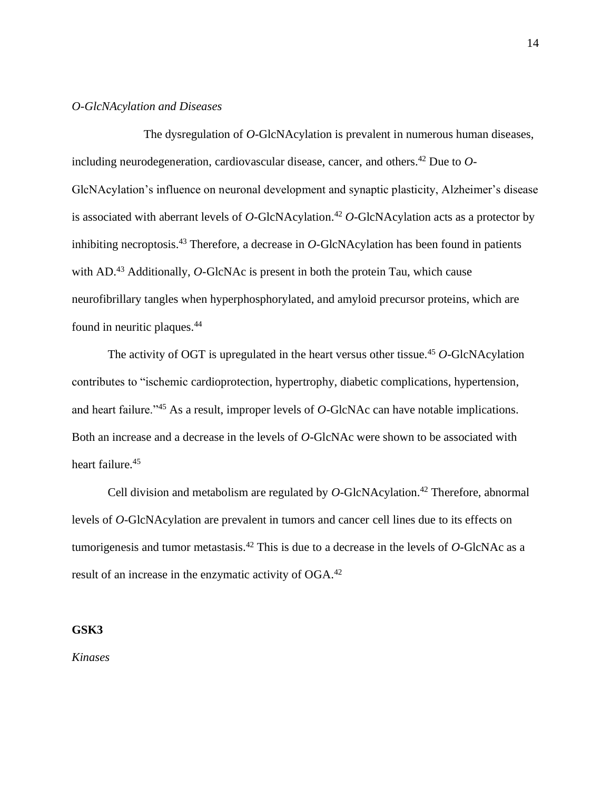#### *O-GlcNAcylation and Diseases*

The dysregulation of *O*-GlcNAcylation is prevalent in numerous human diseases, including neurodegeneration, cardiovascular disease, cancer, and others. <sup>42</sup> Due to *O*-GlcNAcylation's influence on neuronal development and synaptic plasticity, Alzheimer's disease is associated with aberrant levels of *O*-GlcNAcylation.<sup>42</sup> *O*-GlcNAcylation acts as a protector by inhibiting necroptosis.<sup>43</sup> Therefore, a decrease in *O*-GlcNAcylation has been found in patients with AD.<sup>43</sup> Additionally, *O*-GlcNAc is present in both the protein Tau, which cause neurofibrillary tangles when hyperphosphorylated, and amyloid precursor proteins, which are found in neuritic plaques.<sup>44</sup>

The activity of OGT is upregulated in the heart versus other tissue.<sup>45</sup> O-GlcNAcylation contributes to "ischemic cardioprotection, hypertrophy, diabetic complications, hypertension, and heart failure."<sup>45</sup> As a result, improper levels of *O*-GlcNAc can have notable implications. Both an increase and a decrease in the levels of *O*-GlcNAc were shown to be associated with heart failure.<sup>45</sup>

Cell division and metabolism are regulated by *O*-GlcNAcylation.<sup>42</sup> Therefore, abnormal levels of *O*-GlcNAcylation are prevalent in tumors and cancer cell lines due to its effects on tumorigenesis and tumor metastasis.<sup>42</sup> This is due to a decrease in the levels of *O*-GlcNAc as a result of an increase in the enzymatic activity of OGA.<sup>42</sup>

#### **GSK3**

*Kinases*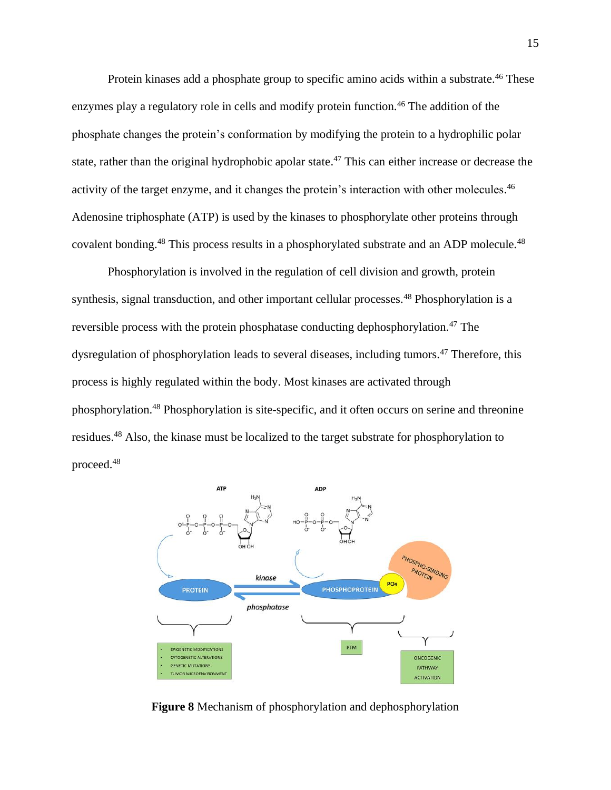Protein kinases add a phosphate group to specific amino acids within a substrate.<sup>46</sup> These enzymes play a regulatory role in cells and modify protein function.<sup>46</sup> The addition of the phosphate changes the protein's conformation by modifying the protein to a hydrophilic polar state, rather than the original hydrophobic apolar state.<sup>47</sup> This can either increase or decrease the activity of the target enzyme, and it changes the protein's interaction with other molecules.<sup>46</sup> Adenosine triphosphate (ATP) is used by the kinases to phosphorylate other proteins through covalent bonding.<sup>48</sup> This process results in a phosphorylated substrate and an ADP molecule.<sup>48</sup>

Phosphorylation is involved in the regulation of cell division and growth, protein synthesis, signal transduction, and other important cellular processes.<sup>48</sup> Phosphorylation is a reversible process with the protein phosphatase conducting dephosphorylation.<sup>47</sup> The dysregulation of phosphorylation leads to several diseases, including tumors.<sup>47</sup> Therefore, this process is highly regulated within the body. Most kinases are activated through phosphorylation.<sup>48</sup> Phosphorylation is site-specific, and it often occurs on serine and threonine residues.<sup>48</sup> Also, the kinase must be localized to the target substrate for phosphorylation to proceed.<sup>48</sup>



**Figure 8** Mechanism of phosphorylation and dephosphorylation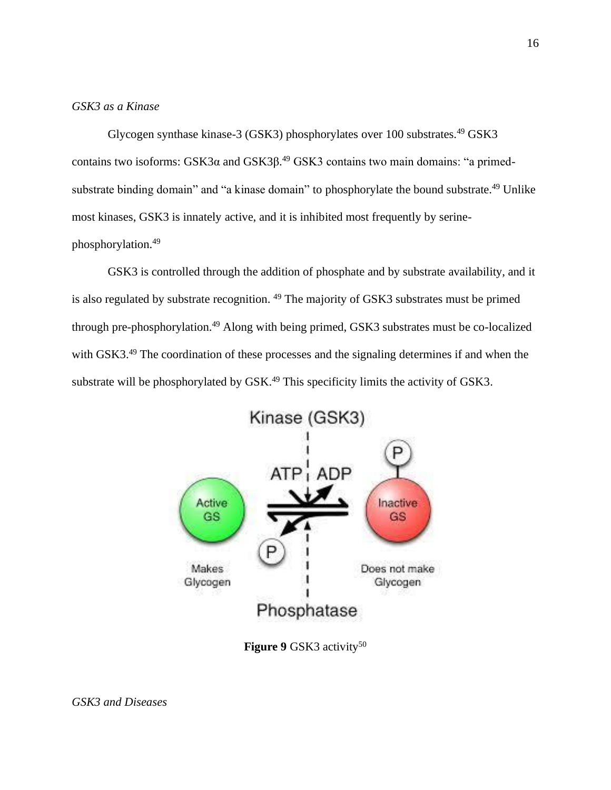# *GSK3 as a Kinase*

Glycogen synthase kinase-3 (GSK3) phosphorylates over 100 substrates.<sup>49</sup> GSK3 contains two isoforms:  $GSK3\alpha$  and  $GSK3\beta$ .<sup>49</sup>  $GSK3$  contains two main domains: "a primedsubstrate binding domain" and "a kinase domain" to phosphorylate the bound substrate.<sup>49</sup> Unlike most kinases, GSK3 is innately active, and it is inhibited most frequently by serinephosphorylation.<sup>49</sup>

GSK3 is controlled through the addition of phosphate and by substrate availability, and it is also regulated by substrate recognition. <sup>49</sup> The majority of GSK3 substrates must be primed through pre-phosphorylation. <sup>49</sup> Along with being primed, GSK3 substrates must be co-localized with GSK3.<sup>49</sup> The coordination of these processes and the signaling determines if and when the substrate will be phosphorylated by  $GSK<sup>49</sup>$  This specificity limits the activity of  $GSK3$ .



**Figure 9** GSK3 activity<sup>50</sup>

*GSK3 and Diseases*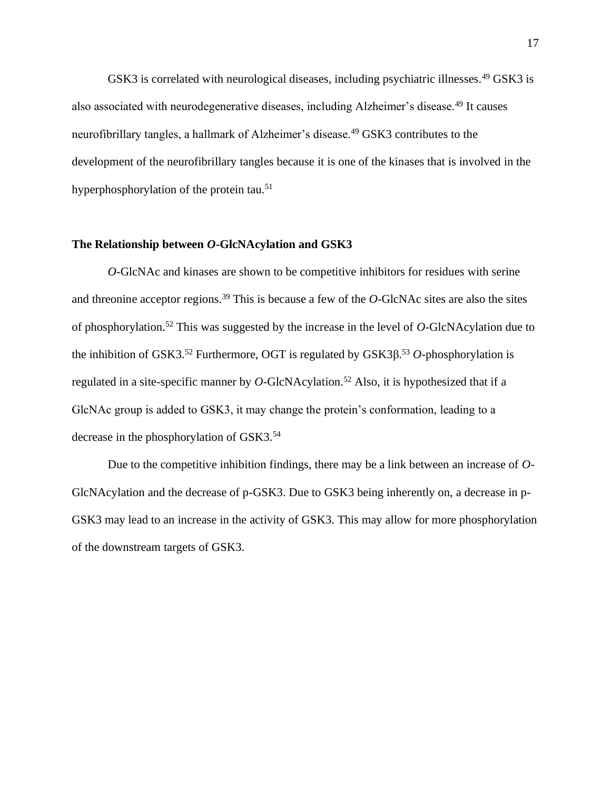GSK3 is correlated with neurological diseases, including psychiatric illnesses.<sup>49</sup> GSK3 is also associated with neurodegenerative diseases, including Alzheimer's disease.<sup>49</sup> It causes neurofibrillary tangles, a hallmark of Alzheimer's disease.<sup>49</sup> GSK3 contributes to the development of the neurofibrillary tangles because it is one of the kinases that is involved in the hyperphosphorylation of the protein tau.<sup>51</sup>

#### **The Relationship between** *O***-GlcNAcylation and GSK3**

*O*-GlcNAc and kinases are shown to be competitive inhibitors for residues with serine and threonine acceptor regions.<sup>39</sup> This is because a few of the *O*-GlcNAc sites are also the sites of phosphorylation.<sup>52</sup> This was suggested by the increase in the level of *O*-GlcNAcylation due to the inhibition of GSK3.<sup>52</sup> Furthermore, OGT is regulated by GSK3β. <sup>53</sup> *O*-phosphorylation is regulated in a site-specific manner by  $O$ -GlcNAcylation.<sup>52</sup> Also, it is hypothesized that if a GlcNAc group is added to GSK3, it may change the protein's conformation, leading to a decrease in the phosphorylation of GSK3.<sup>54</sup>

Due to the competitive inhibition findings, there may be a link between an increase of *O*-GlcNAcylation and the decrease of p-GSK3. Due to GSK3 being inherently on, a decrease in p-GSK3 may lead to an increase in the activity of GSK3. This may allow for more phosphorylation of the downstream targets of GSK3.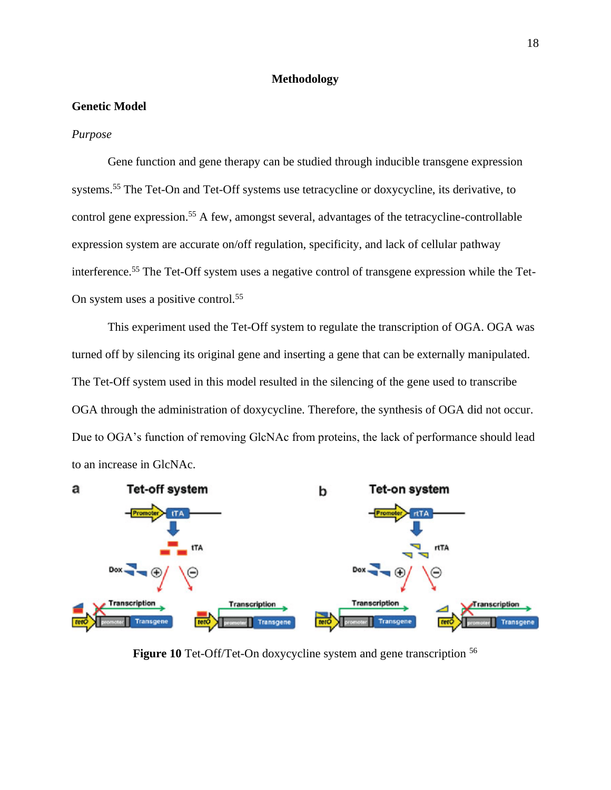#### **Methodology**

## **Genetic Model**

#### *Purpose*

Gene function and gene therapy can be studied through inducible transgene expression systems.<sup>55</sup> The Tet-On and Tet-Off systems use tetracycline or doxycycline, its derivative, to control gene expression.<sup>55</sup> A few, amongst several, advantages of the tetracycline-controllable expression system are accurate on/off regulation, specificity, and lack of cellular pathway interference.<sup>55</sup> The Tet-Off system uses a negative control of transgene expression while the Tet-On system uses a positive control.<sup>55</sup>

This experiment used the Tet-Off system to regulate the transcription of OGA. OGA was turned off by silencing its original gene and inserting a gene that can be externally manipulated. The Tet-Off system used in this model resulted in the silencing of the gene used to transcribe OGA through the administration of doxycycline. Therefore, the synthesis of OGA did not occur. Due to OGA's function of removing GlcNAc from proteins, the lack of performance should lead to an increase in GlcNAc.



**Figure 10** Tet-Off/Tet-On doxycycline system and gene transcription <sup>56</sup>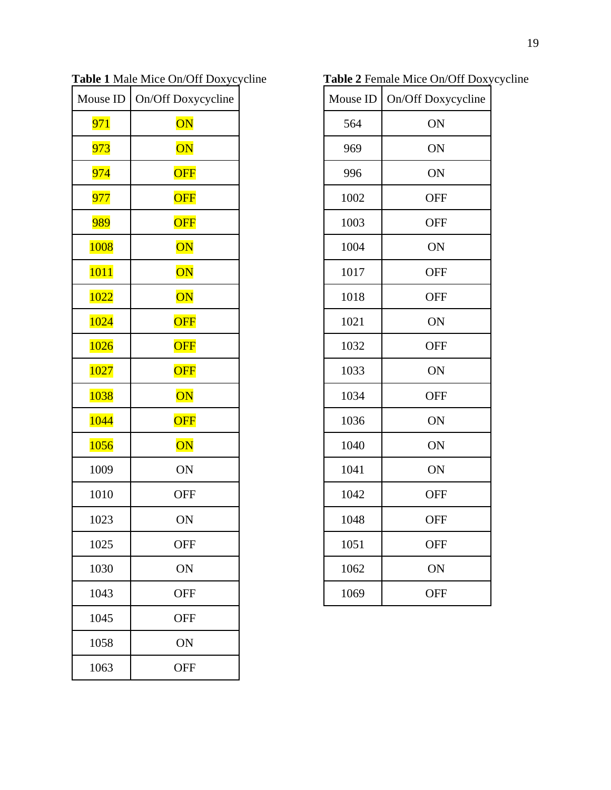| Mouse ID         | On/Off Doxycycline     |
|------------------|------------------------|
| 971              | $\overline{\text{ON}}$ |
| 973              | $\overline{\text{ON}}$ |
| 974              | OFF                    |
| <mark>977</mark> | OFF                    |
| <b>989</b>       | OFF                    |
| 1008             | $\overline{\text{ON}}$ |
| <b>1011</b>      | $\overline{\text{ON}}$ |
| 1022             | $\overline{\text{ON}}$ |
| 1024             | <b>OFF</b>             |
| 1026             | OFF                    |
| 1027             | OFF                    |
| 1038             | $\overline{\text{ON}}$ |
| 1044             | <b>OFF</b>             |
| 1056             | $\overline{\text{ON}}$ |
| 1009             | ON                     |
| 1010             | <b>OFF</b>             |
| 1023             | ON                     |
| 1025             | <b>OFF</b>             |
| 1030             | ON                     |
| 1043             | <b>OFF</b>             |
| 1045             | <b>OFF</b>             |
| 1058             | ON                     |
| 1063             | <b>OFF</b>             |

**Table 1** Male Mice On/Off Doxycycline

**Table 2** Female Mice On/Off Doxycycline

|      | Mouse ID   On/Off Doxycycline |
|------|-------------------------------|
| 564  | ON                            |
| 969  | ON                            |
| 996  | ON                            |
| 1002 | <b>OFF</b>                    |
| 1003 | <b>OFF</b>                    |
| 1004 | ON                            |
| 1017 | <b>OFF</b>                    |
| 1018 | <b>OFF</b>                    |
| 1021 | ON                            |
| 1032 | <b>OFF</b>                    |
| 1033 | ON                            |
| 1034 | <b>OFF</b>                    |
| 1036 | ON                            |
| 1040 | ON                            |
| 1041 | ON                            |
| 1042 | <b>OFF</b>                    |
| 1048 | <b>OFF</b>                    |
| 1051 | <b>OFF</b>                    |
| 1062 | ON                            |
| 1069 | <b>OFF</b>                    |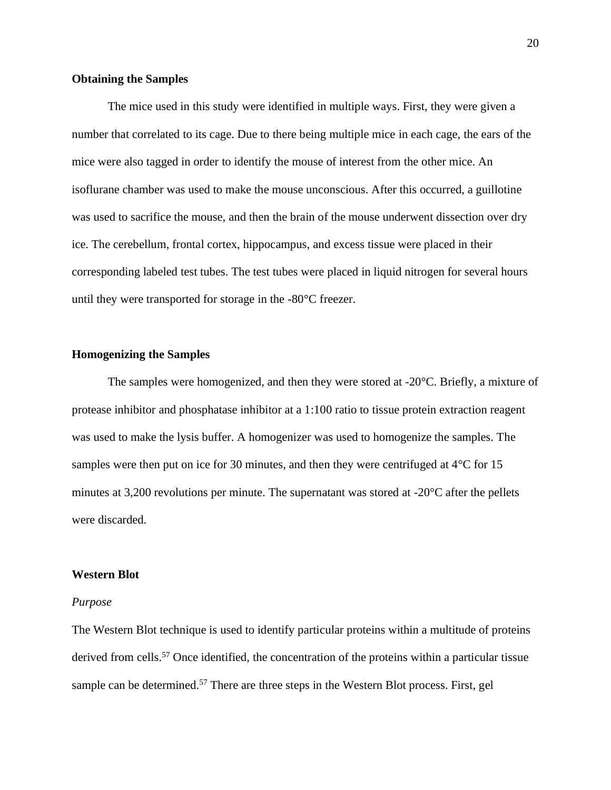#### **Obtaining the Samples**

The mice used in this study were identified in multiple ways. First, they were given a number that correlated to its cage. Due to there being multiple mice in each cage, the ears of the mice were also tagged in order to identify the mouse of interest from the other mice. An isoflurane chamber was used to make the mouse unconscious. After this occurred, a guillotine was used to sacrifice the mouse, and then the brain of the mouse underwent dissection over dry ice. The cerebellum, frontal cortex, hippocampus, and excess tissue were placed in their corresponding labeled test tubes. The test tubes were placed in liquid nitrogen for several hours until they were transported for storage in the -80°C freezer.

#### **Homogenizing the Samples**

The samples were homogenized, and then they were stored at  $-20^{\circ}$ C. Briefly, a mixture of protease inhibitor and phosphatase inhibitor at a 1:100 ratio to tissue protein extraction reagent was used to make the lysis buffer. A homogenizer was used to homogenize the samples. The samples were then put on ice for 30 minutes, and then they were centrifuged at 4<sup>o</sup>C for 15 minutes at 3,200 revolutions per minute. The supernatant was stored at -20<sup>o</sup>C after the pellets were discarded.

#### **Western Blot**

#### *Purpose*

The Western Blot technique is used to identify particular proteins within a multitude of proteins derived from cells.<sup>57</sup> Once identified, the concentration of the proteins within a particular tissue sample can be determined.<sup>57</sup> There are three steps in the Western Blot process. First, gel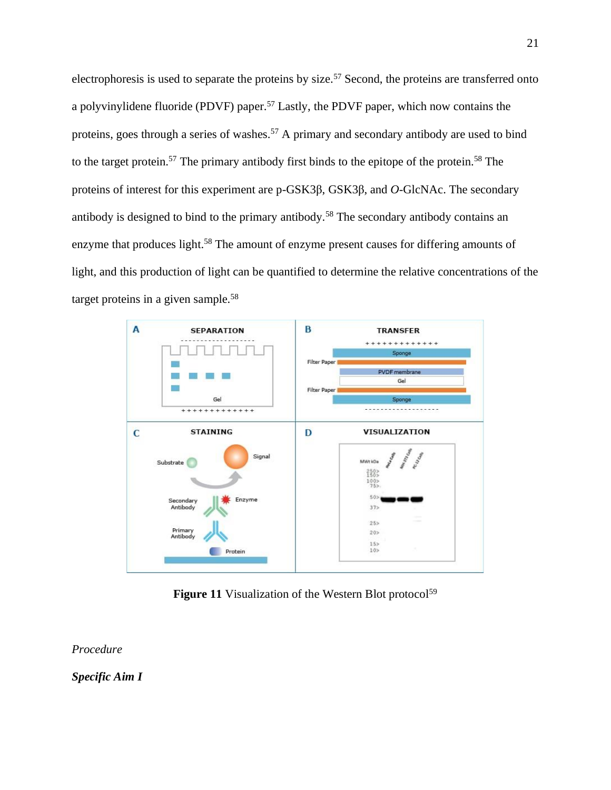electrophoresis is used to separate the proteins by size.<sup>57</sup> Second, the proteins are transferred onto a polyvinylidene fluoride (PDVF) paper.<sup>57</sup> Lastly, the PDVF paper, which now contains the proteins, goes through a series of washes.<sup>57</sup> A primary and secondary antibody are used to bind to the target protein.<sup>57</sup> The primary antibody first binds to the epitope of the protein.<sup>58</sup> The proteins of interest for this experiment are p-GSK3β, GSK3β, and *O*-GlcNAc. The secondary antibody is designed to bind to the primary antibody.<sup>58</sup> The secondary antibody contains an enzyme that produces light.<sup>58</sup> The amount of enzyme present causes for differing amounts of light, and this production of light can be quantified to determine the relative concentrations of the target proteins in a given sample. $58$ 



Figure 11 Visualization of the Western Blot protocol<sup>59</sup>

*Procedure*

*Specific Aim I*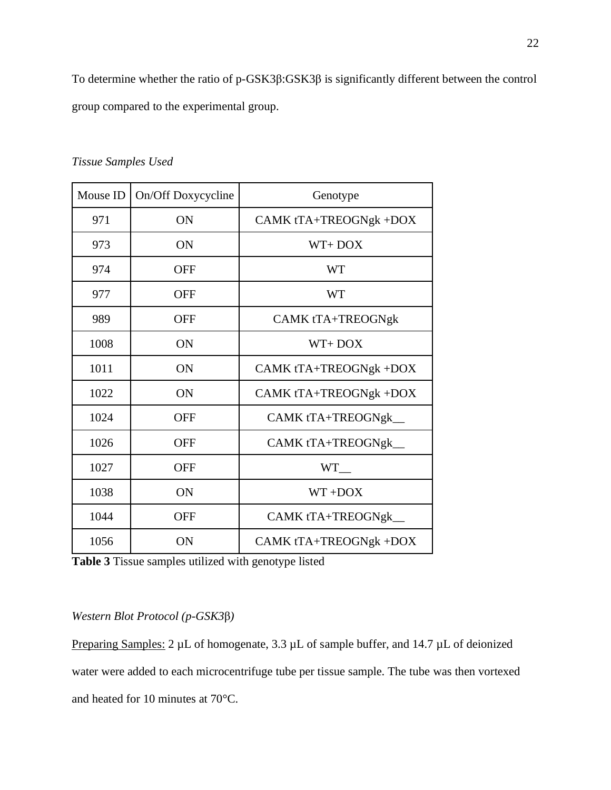To determine whether the ratio of p-GSK3β:GSK3β is significantly different between the control group compared to the experimental group.

| Mouse ID | On/Off Doxycycline | Genotype               |
|----------|--------------------|------------------------|
| 971      | ON                 | CAMK tTA+TREOGNgk +DOX |
| 973      | <b>ON</b>          | $WT+DOX$               |
| 974      | <b>OFF</b>         | <b>WT</b>              |
| 977      | <b>OFF</b>         | <b>WT</b>              |
| 989      | OFF                | CAMK tTA+TREOGNgk      |
| 1008     | ON                 | $WT+DOX$               |
| 1011     | ON                 | CAMK tTA+TREOGNgk +DOX |
| 1022     | ON                 | CAMK tTA+TREOGNgk +DOX |
| 1024     | <b>OFF</b>         | CAMK tTA+TREOGNgk_     |
| 1026     | <b>OFF</b>         | CAMK tTA+TREOGNgk_     |
| 1027     | <b>OFF</b>         | <b>WT</b>              |
| 1038     | <b>ON</b>          | $WT + DOX$             |
| 1044     | <b>OFF</b>         | CAMK tTA+TREOGNgk_     |
| 1056     | ON                 | CAMK tTA+TREOGNgk +DOX |

*Tissue Samples Used*

**Table 3** Tissue samples utilized with genotype listed

# *Western Blot Protocol (p-GSK3*β*)*

Preparing Samples: 2 µL of homogenate, 3.3 µL of sample buffer, and 14.7 µL of deionized water were added to each microcentrifuge tube per tissue sample. The tube was then vortexed and heated for 10 minutes at 70°C.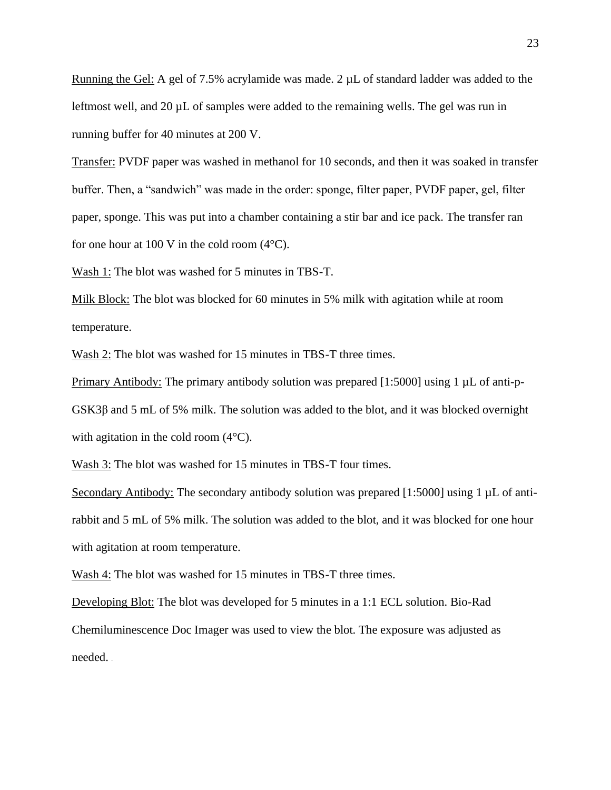Running the Gel: A gel of 7.5% acrylamide was made.  $2 \mu L$  of standard ladder was added to the leftmost well, and 20  $\mu$ L of samples were added to the remaining wells. The gel was run in running buffer for 40 minutes at 200 V.

Transfer: PVDF paper was washed in methanol for 10 seconds, and then it was soaked in transfer buffer. Then, a "sandwich" was made in the order: sponge, filter paper, PVDF paper, gel, filter paper, sponge. This was put into a chamber containing a stir bar and ice pack. The transfer ran for one hour at 100 V in the cold room  $(4^{\circ}C)$ .

Wash 1: The blot was washed for 5 minutes in TBS-T.

Milk Block: The blot was blocked for 60 minutes in 5% milk with agitation while at room temperature.

Wash 2: The blot was washed for 15 minutes in TBS-T three times.

Primary Antibody: The primary antibody solution was prepared [1:5000] using 1 µL of anti-p-GSK3β and 5 mL of 5% milk. The solution was added to the blot, and it was blocked overnight with agitation in the cold room  $(4^{\circ}C)$ .

Wash 3: The blot was washed for 15 minutes in TBS-T four times.

Secondary Antibody: The secondary antibody solution was prepared [1:5000] using 1 µL of antirabbit and 5 mL of 5% milk. The solution was added to the blot, and it was blocked for one hour with agitation at room temperature.

Wash 4: The blot was washed for 15 minutes in TBS-T three times.

Developing Blot: The blot was developed for 5 minutes in a 1:1 ECL solution. Bio-Rad Chemiluminescence Doc Imager was used to view the blot. The exposure was adjusted as needed.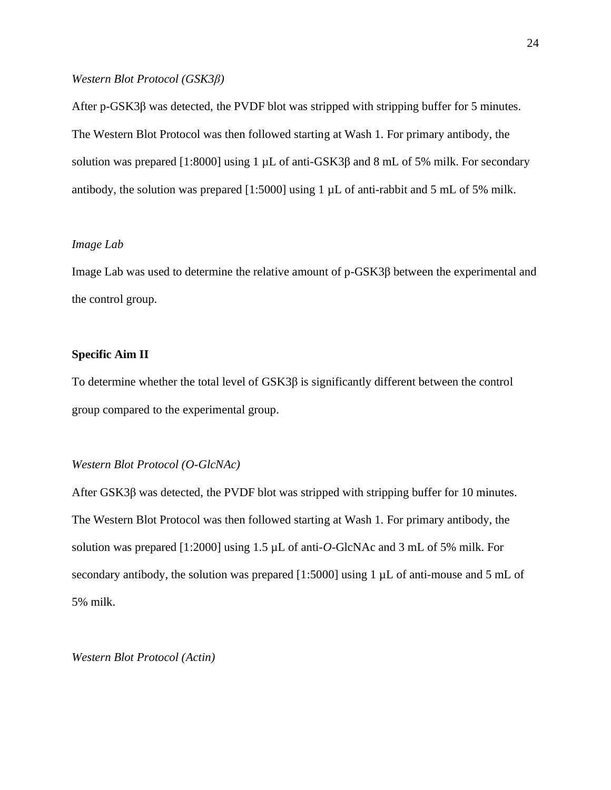#### *Western Blot Protocol (GSK3β)*

After p-GSK3β was detected, the PVDF blot was stripped with stripping buffer for 5 minutes. The Western Blot Protocol was then followed starting at Wash 1. For primary antibody, the solution was prepared [1:8000] using 1  $\mu$ L of anti-GSK3 $\beta$  and 8 mL of 5% milk. For secondary antibody, the solution was prepared [1:5000] using 1 µL of anti-rabbit and 5 mL of 5% milk.

# *Image Lab*

Image Lab was used to determine the relative amount of p-GSK3β between the experimental and the control group.

#### **Specific Aim II**

To determine whether the total level of GSK3β is significantly different between the control group compared to the experimental group.

### *Western Blot Protocol (O-GlcNAc)*

After GSK3β was detected, the PVDF blot was stripped with stripping buffer for 10 minutes. The Western Blot Protocol was then followed starting at Wash 1. For primary antibody, the solution was prepared [1:2000] using 1.5 µL of anti-*O*-GlcNAc and 3 mL of 5% milk. For secondary antibody, the solution was prepared [1:5000] using 1  $\mu$ L of anti-mouse and 5 mL of 5% milk.

*Western Blot Protocol (Actin)*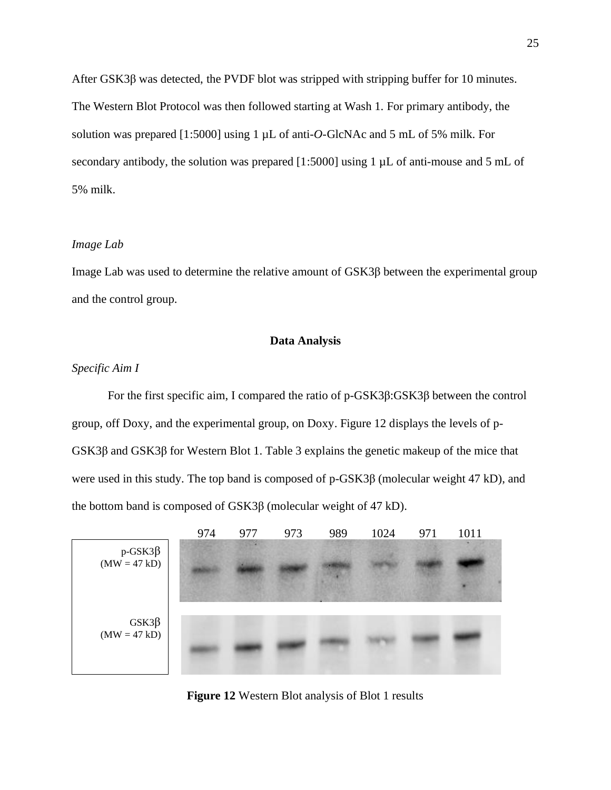After GSK3β was detected, the PVDF blot was stripped with stripping buffer for 10 minutes. The Western Blot Protocol was then followed starting at Wash 1. For primary antibody, the solution was prepared [1:5000] using 1 µL of anti-*O*-GlcNAc and 5 mL of 5% milk. For secondary antibody, the solution was prepared [1:5000] using 1  $\mu$ L of anti-mouse and 5 mL of 5% milk.

#### *Image Lab*

Image Lab was used to determine the relative amount of GSK3β between the experimental group and the control group.

## **Data Analysis**

# *Specific Aim I*

For the first specific aim, I compared the ratio of p-GSK3β:GSK3β between the control group, off Doxy, and the experimental group, on Doxy. Figure 12 displays the levels of p-GSK3β and GSK3β for Western Blot 1. Table 3 explains the genetic makeup of the mice that were used in this study. The top band is composed of p-GSK3β (molecular weight 47 kD), and the bottom band is composed of GSK3β (molecular weight of 47 kD).



**Figure 12** Western Blot analysis of Blot 1 results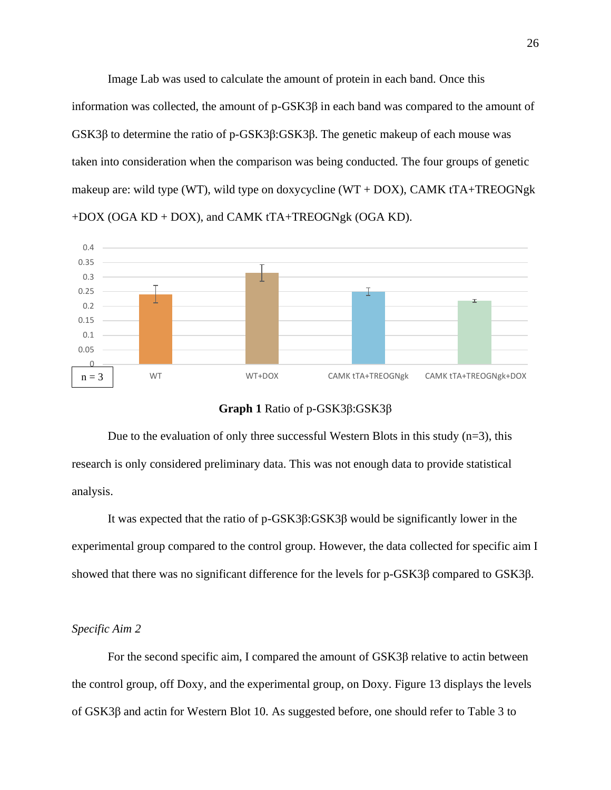Image Lab was used to calculate the amount of protein in each band. Once this information was collected, the amount of  $p$ -GSK3 $\beta$  in each band was compared to the amount of GSK3β to determine the ratio of p-GSK3β:GSK3β. The genetic makeup of each mouse was taken into consideration when the comparison was being conducted. The four groups of genetic makeup are: wild type (WT), wild type on doxycycline (WT + DOX), CAMK tTA+TREOGNgk +DOX (OGA KD + DOX), and CAMK tTA+TREOGNgk (OGA KD).



#### **Graph 1** Ratio of p-GSK3β:GSK3β

Due to the evaluation of only three successful Western Blots in this study  $(n=3)$ , this research is only considered preliminary data. This was not enough data to provide statistical analysis.

It was expected that the ratio of p-GSK3β:GSK3β would be significantly lower in the experimental group compared to the control group. However, the data collected for specific aim I showed that there was no significant difference for the levels for p-GSK3β compared to GSK3β.

#### *Specific Aim 2*

For the second specific aim, I compared the amount of GSK3β relative to actin between the control group, off Doxy, and the experimental group, on Doxy. Figure 13 displays the levels of GSK3β and actin for Western Blot 10. As suggested before, one should refer to Table 3 to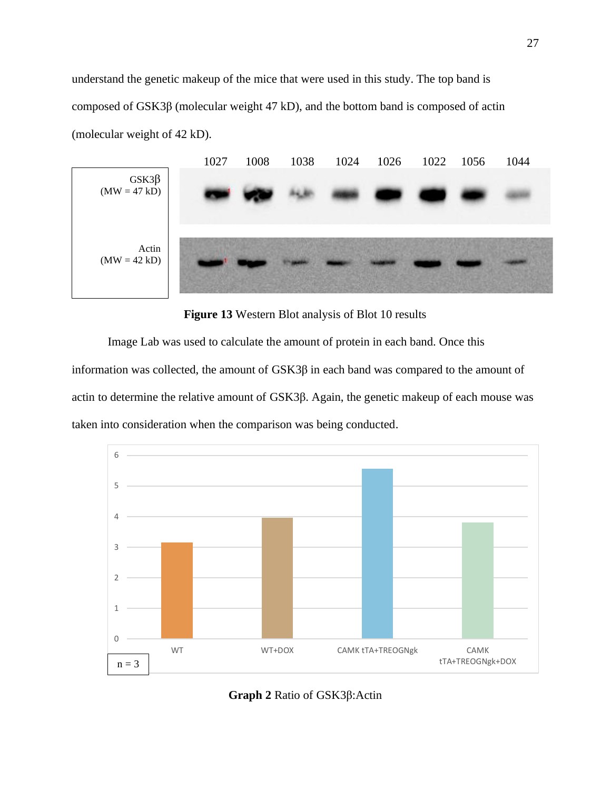understand the genetic makeup of the mice that were used in this study. The top band is composed of GSK3β (molecular weight 47 kD), and the bottom band is composed of actin (molecular weight of 42 kD).



**Figure 13** Western Blot analysis of Blot 10 results

Image Lab was used to calculate the amount of protein in each band. Once this information was collected, the amount of GSK3β in each band was compared to the amount of actin to determine the relative amount of GSK3β. Again, the genetic makeup of each mouse was taken into consideration when the comparison was being conducted.



**Graph 2** Ratio of GSK3β:Actin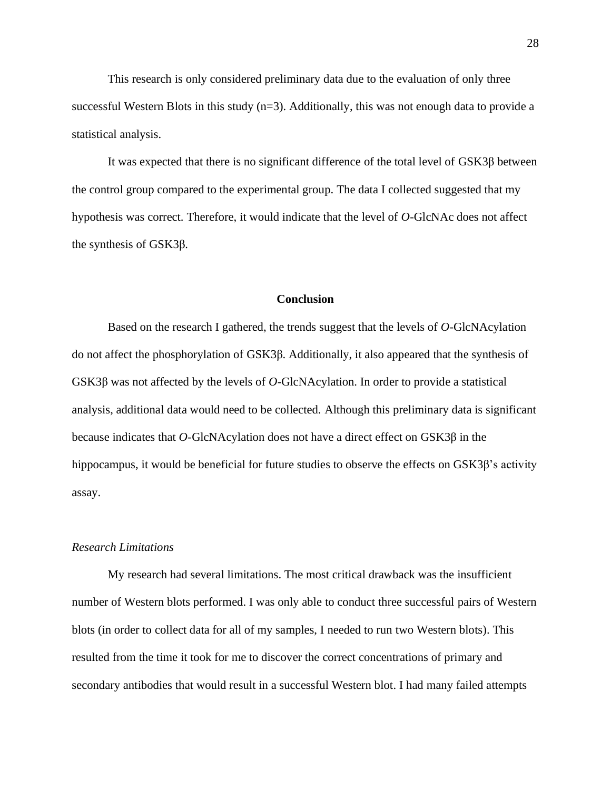This research is only considered preliminary data due to the evaluation of only three successful Western Blots in this study (n=3). Additionally, this was not enough data to provide a statistical analysis.

It was expected that there is no significant difference of the total level of GSK3β between the control group compared to the experimental group. The data I collected suggested that my hypothesis was correct. Therefore, it would indicate that the level of *O*-GlcNAc does not affect the synthesis of GSK3β.

# **Conclusion**

Based on the research I gathered, the trends suggest that the levels of *O*-GlcNAcylation do not affect the phosphorylation of GSK3β. Additionally, it also appeared that the synthesis of GSK3β was not affected by the levels of *O*-GlcNAcylation. In order to provide a statistical analysis, additional data would need to be collected. Although this preliminary data is significant because indicates that *O*-GlcNAcylation does not have a direct effect on GSK3β in the hippocampus, it would be beneficial for future studies to observe the effects on GSK3β's activity assay.

#### *Research Limitations*

My research had several limitations. The most critical drawback was the insufficient number of Western blots performed. I was only able to conduct three successful pairs of Western blots (in order to collect data for all of my samples, I needed to run two Western blots). This resulted from the time it took for me to discover the correct concentrations of primary and secondary antibodies that would result in a successful Western blot. I had many failed attempts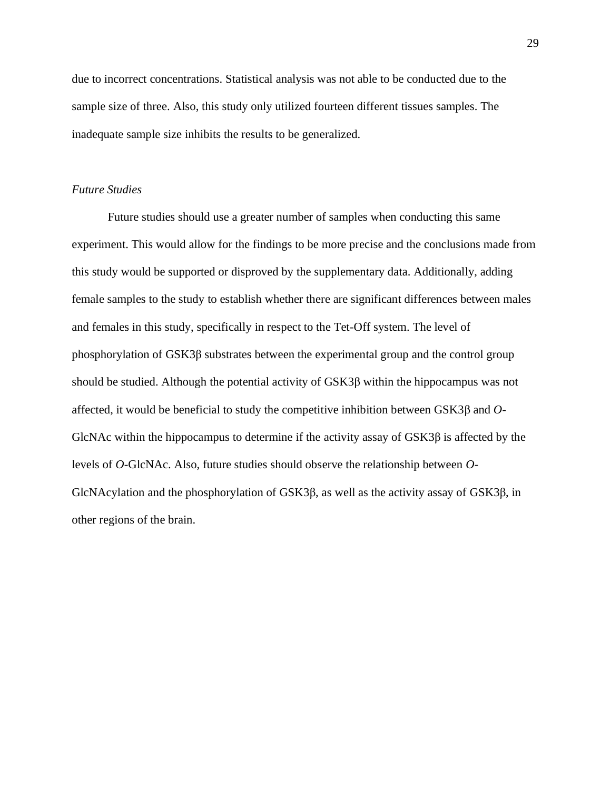due to incorrect concentrations. Statistical analysis was not able to be conducted due to the sample size of three. Also, this study only utilized fourteen different tissues samples. The inadequate sample size inhibits the results to be generalized.

### *Future Studies*

Future studies should use a greater number of samples when conducting this same experiment. This would allow for the findings to be more precise and the conclusions made from this study would be supported or disproved by the supplementary data. Additionally, adding female samples to the study to establish whether there are significant differences between males and females in this study, specifically in respect to the Tet-Off system. The level of phosphorylation of GSK3β substrates between the experimental group and the control group should be studied. Although the potential activity of GSK3β within the hippocampus was not affected, it would be beneficial to study the competitive inhibition between GSK3β and *O*-GlcNAc within the hippocampus to determine if the activity assay of GSK3β is affected by the levels of *O*-GlcNAc. Also, future studies should observe the relationship between *O*-GlcNAcylation and the phosphorylation of GSK3β, as well as the activity assay of GSK3β, in other regions of the brain.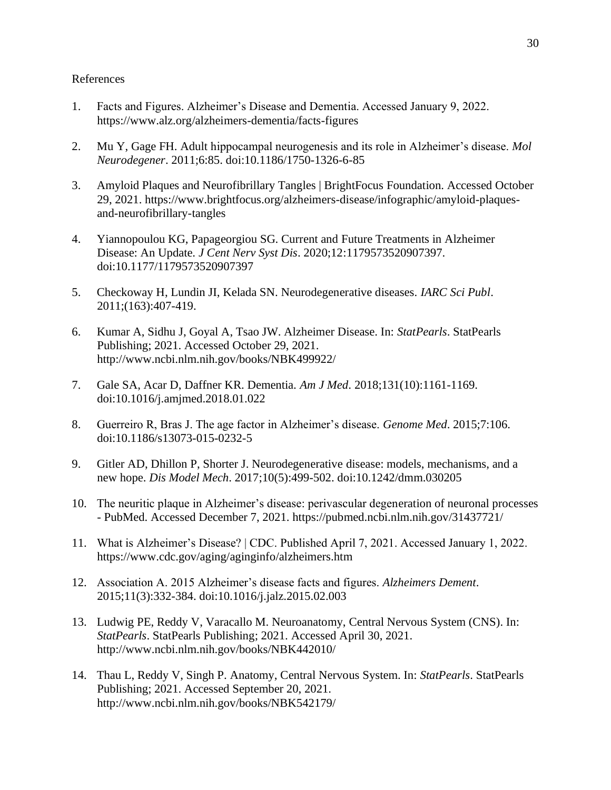# References

- 1. Facts and Figures. Alzheimer's Disease and Dementia. Accessed January 9, 2022. https://www.alz.org/alzheimers-dementia/facts-figures
- 2. Mu Y, Gage FH. Adult hippocampal neurogenesis and its role in Alzheimer's disease. *Mol Neurodegener*. 2011;6:85. doi:10.1186/1750-1326-6-85
- 3. Amyloid Plaques and Neurofibrillary Tangles | BrightFocus Foundation. Accessed October 29, 2021. https://www.brightfocus.org/alzheimers-disease/infographic/amyloid-plaquesand-neurofibrillary-tangles
- 4. Yiannopoulou KG, Papageorgiou SG. Current and Future Treatments in Alzheimer Disease: An Update. *J Cent Nerv Syst Dis*. 2020;12:1179573520907397. doi:10.1177/1179573520907397
- 5. Checkoway H, Lundin JI, Kelada SN. Neurodegenerative diseases. *IARC Sci Publ*. 2011;(163):407-419.
- 6. Kumar A, Sidhu J, Goyal A, Tsao JW. Alzheimer Disease. In: *StatPearls*. StatPearls Publishing; 2021. Accessed October 29, 2021. http://www.ncbi.nlm.nih.gov/books/NBK499922/
- 7. Gale SA, Acar D, Daffner KR. Dementia. *Am J Med*. 2018;131(10):1161-1169. doi:10.1016/j.amjmed.2018.01.022
- 8. Guerreiro R, Bras J. The age factor in Alzheimer's disease. *Genome Med*. 2015;7:106. doi:10.1186/s13073-015-0232-5
- 9. Gitler AD, Dhillon P, Shorter J. Neurodegenerative disease: models, mechanisms, and a new hope. *Dis Model Mech*. 2017;10(5):499-502. doi:10.1242/dmm.030205
- 10. The neuritic plaque in Alzheimer's disease: perivascular degeneration of neuronal processes - PubMed. Accessed December 7, 2021. https://pubmed.ncbi.nlm.nih.gov/31437721/
- 11. What is Alzheimer's Disease? | CDC. Published April 7, 2021. Accessed January 1, 2022. https://www.cdc.gov/aging/aginginfo/alzheimers.htm
- 12. Association A. 2015 Alzheimer's disease facts and figures. *Alzheimers Dement*. 2015;11(3):332-384. doi:10.1016/j.jalz.2015.02.003
- 13. Ludwig PE, Reddy V, Varacallo M. Neuroanatomy, Central Nervous System (CNS). In: *StatPearls*. StatPearls Publishing; 2021. Accessed April 30, 2021. http://www.ncbi.nlm.nih.gov/books/NBK442010/
- 14. Thau L, Reddy V, Singh P. Anatomy, Central Nervous System. In: *StatPearls*. StatPearls Publishing; 2021. Accessed September 20, 2021. http://www.ncbi.nlm.nih.gov/books/NBK542179/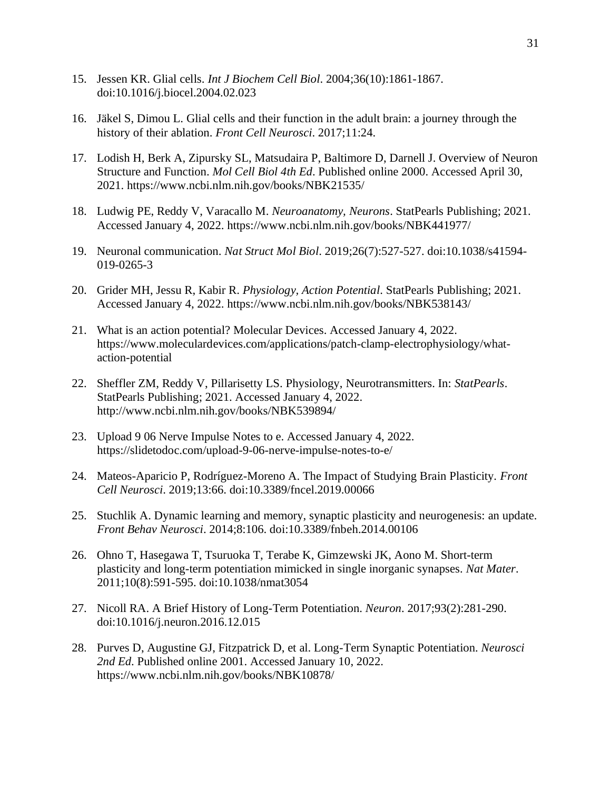- 15. Jessen KR. Glial cells. *Int J Biochem Cell Biol*. 2004;36(10):1861-1867. doi:10.1016/j.biocel.2004.02.023
- 16. Jäkel S, Dimou L. Glial cells and their function in the adult brain: a journey through the history of their ablation. *Front Cell Neurosci*. 2017;11:24.
- 17. Lodish H, Berk A, Zipursky SL, Matsudaira P, Baltimore D, Darnell J. Overview of Neuron Structure and Function. *Mol Cell Biol 4th Ed*. Published online 2000. Accessed April 30, 2021. https://www.ncbi.nlm.nih.gov/books/NBK21535/
- 18. Ludwig PE, Reddy V, Varacallo M. *Neuroanatomy, Neurons*. StatPearls Publishing; 2021. Accessed January 4, 2022. https://www.ncbi.nlm.nih.gov/books/NBK441977/
- 19. Neuronal communication. *Nat Struct Mol Biol*. 2019;26(7):527-527. doi:10.1038/s41594- 019-0265-3
- 20. Grider MH, Jessu R, Kabir R. *Physiology, Action Potential*. StatPearls Publishing; 2021. Accessed January 4, 2022. https://www.ncbi.nlm.nih.gov/books/NBK538143/
- 21. What is an action potential? Molecular Devices. Accessed January 4, 2022. https://www.moleculardevices.com/applications/patch-clamp-electrophysiology/whataction-potential
- 22. Sheffler ZM, Reddy V, Pillarisetty LS. Physiology, Neurotransmitters. In: *StatPearls*. StatPearls Publishing; 2021. Accessed January 4, 2022. http://www.ncbi.nlm.nih.gov/books/NBK539894/
- 23. Upload 9 06 Nerve Impulse Notes to e. Accessed January 4, 2022. https://slidetodoc.com/upload-9-06-nerve-impulse-notes-to-e/
- 24. Mateos-Aparicio P, Rodríguez-Moreno A. The Impact of Studying Brain Plasticity. *Front Cell Neurosci*. 2019;13:66. doi:10.3389/fncel.2019.00066
- 25. Stuchlik A. Dynamic learning and memory, synaptic plasticity and neurogenesis: an update. *Front Behav Neurosci*. 2014;8:106. doi:10.3389/fnbeh.2014.00106
- 26. Ohno T, Hasegawa T, Tsuruoka T, Terabe K, Gimzewski JK, Aono M. Short-term plasticity and long-term potentiation mimicked in single inorganic synapses. *Nat Mater*. 2011;10(8):591-595. doi:10.1038/nmat3054
- 27. Nicoll RA. A Brief History of Long-Term Potentiation. *Neuron*. 2017;93(2):281-290. doi:10.1016/j.neuron.2016.12.015
- 28. Purves D, Augustine GJ, Fitzpatrick D, et al. Long-Term Synaptic Potentiation. *Neurosci 2nd Ed*. Published online 2001. Accessed January 10, 2022. https://www.ncbi.nlm.nih.gov/books/NBK10878/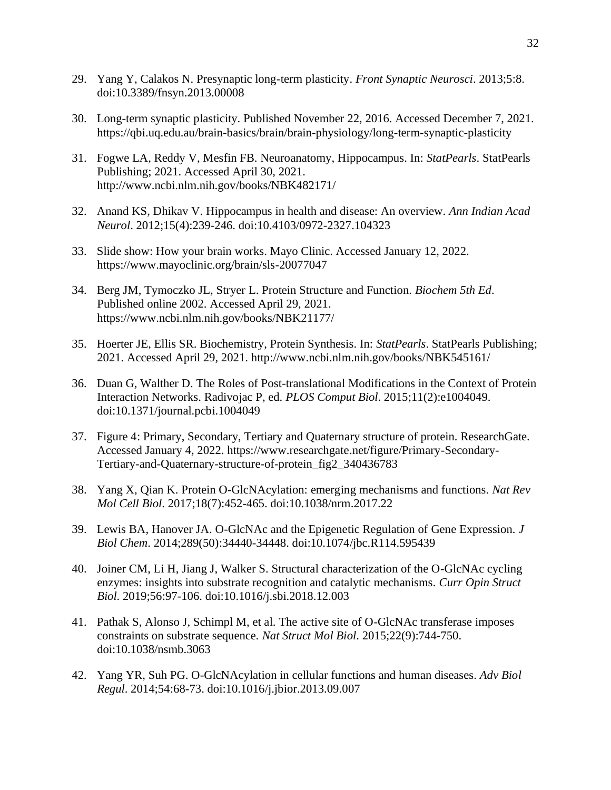- 29. Yang Y, Calakos N. Presynaptic long-term plasticity. *Front Synaptic Neurosci*. 2013;5:8. doi:10.3389/fnsyn.2013.00008
- 30. Long-term synaptic plasticity. Published November 22, 2016. Accessed December 7, 2021. https://qbi.uq.edu.au/brain-basics/brain/brain-physiology/long-term-synaptic-plasticity
- 31. Fogwe LA, Reddy V, Mesfin FB. Neuroanatomy, Hippocampus. In: *StatPearls*. StatPearls Publishing; 2021. Accessed April 30, 2021. http://www.ncbi.nlm.nih.gov/books/NBK482171/
- 32. Anand KS, Dhikav V. Hippocampus in health and disease: An overview. *Ann Indian Acad Neurol*. 2012;15(4):239-246. doi:10.4103/0972-2327.104323
- 33. Slide show: How your brain works. Mayo Clinic. Accessed January 12, 2022. https://www.mayoclinic.org/brain/sls-20077047
- 34. Berg JM, Tymoczko JL, Stryer L. Protein Structure and Function. *Biochem 5th Ed*. Published online 2002. Accessed April 29, 2021. https://www.ncbi.nlm.nih.gov/books/NBK21177/
- 35. Hoerter JE, Ellis SR. Biochemistry, Protein Synthesis. In: *StatPearls*. StatPearls Publishing; 2021. Accessed April 29, 2021. http://www.ncbi.nlm.nih.gov/books/NBK545161/
- 36. Duan G, Walther D. The Roles of Post-translational Modifications in the Context of Protein Interaction Networks. Radivojac P, ed. *PLOS Comput Biol*. 2015;11(2):e1004049. doi:10.1371/journal.pcbi.1004049
- 37. Figure 4: Primary, Secondary, Tertiary and Quaternary structure of protein. ResearchGate. Accessed January 4, 2022. https://www.researchgate.net/figure/Primary-Secondary-Tertiary-and-Quaternary-structure-of-protein\_fig2\_340436783
- 38. Yang X, Qian K. Protein O-GlcNAcylation: emerging mechanisms and functions. *Nat Rev Mol Cell Biol*. 2017;18(7):452-465. doi:10.1038/nrm.2017.22
- 39. Lewis BA, Hanover JA. O-GlcNAc and the Epigenetic Regulation of Gene Expression. *J Biol Chem*. 2014;289(50):34440-34448. doi:10.1074/jbc.R114.595439
- 40. Joiner CM, Li H, Jiang J, Walker S. Structural characterization of the O-GlcNAc cycling enzymes: insights into substrate recognition and catalytic mechanisms. *Curr Opin Struct Biol*. 2019;56:97-106. doi:10.1016/j.sbi.2018.12.003
- 41. Pathak S, Alonso J, Schimpl M, et al. The active site of O-GlcNAc transferase imposes constraints on substrate sequence. *Nat Struct Mol Biol*. 2015;22(9):744-750. doi:10.1038/nsmb.3063
- 42. Yang YR, Suh PG. O-GlcNAcylation in cellular functions and human diseases. *Adv Biol Regul*. 2014;54:68-73. doi:10.1016/j.jbior.2013.09.007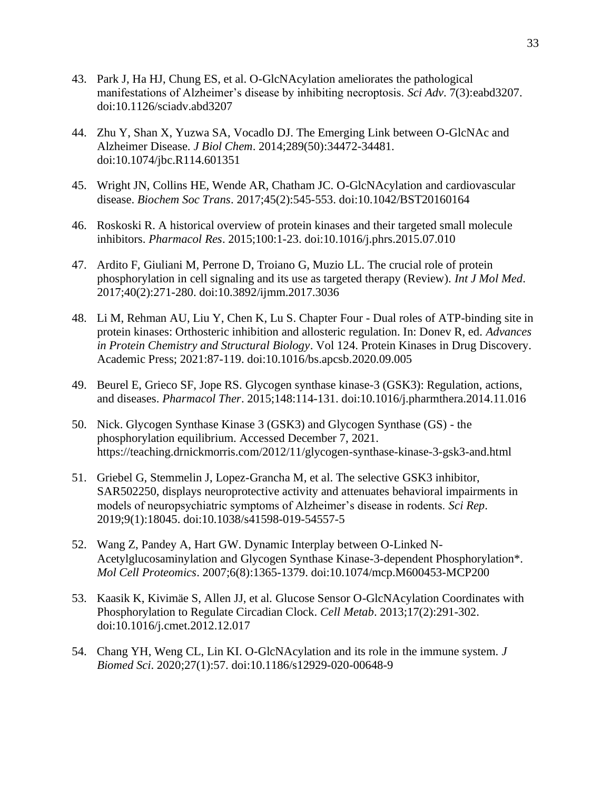- 43. Park J, Ha HJ, Chung ES, et al. O-GlcNAcylation ameliorates the pathological manifestations of Alzheimer's disease by inhibiting necroptosis. *Sci Adv*. 7(3):eabd3207. doi:10.1126/sciadv.abd3207
- 44. Zhu Y, Shan X, Yuzwa SA, Vocadlo DJ. The Emerging Link between O-GlcNAc and Alzheimer Disease. *J Biol Chem*. 2014;289(50):34472-34481. doi:10.1074/jbc.R114.601351
- 45. Wright JN, Collins HE, Wende AR, Chatham JC. O-GlcNAcylation and cardiovascular disease. *Biochem Soc Trans*. 2017;45(2):545-553. doi:10.1042/BST20160164
- 46. Roskoski R. A historical overview of protein kinases and their targeted small molecule inhibitors. *Pharmacol Res*. 2015;100:1-23. doi:10.1016/j.phrs.2015.07.010
- 47. Ardito F, Giuliani M, Perrone D, Troiano G, Muzio LL. The crucial role of protein phosphorylation in cell signaling and its use as targeted therapy (Review). *Int J Mol Med*. 2017;40(2):271-280. doi:10.3892/ijmm.2017.3036
- 48. Li M, Rehman AU, Liu Y, Chen K, Lu S. Chapter Four Dual roles of ATP-binding site in protein kinases: Orthosteric inhibition and allosteric regulation. In: Donev R, ed. *Advances in Protein Chemistry and Structural Biology*. Vol 124. Protein Kinases in Drug Discovery. Academic Press; 2021:87-119. doi:10.1016/bs.apcsb.2020.09.005
- 49. Beurel E, Grieco SF, Jope RS. Glycogen synthase kinase-3 (GSK3): Regulation, actions, and diseases. *Pharmacol Ther*. 2015;148:114-131. doi:10.1016/j.pharmthera.2014.11.016
- 50. Nick. Glycogen Synthase Kinase 3 (GSK3) and Glycogen Synthase (GS) the phosphorylation equilibrium. Accessed December 7, 2021. https://teaching.drnickmorris.com/2012/11/glycogen-synthase-kinase-3-gsk3-and.html
- 51. Griebel G, Stemmelin J, Lopez-Grancha M, et al. The selective GSK3 inhibitor, SAR502250, displays neuroprotective activity and attenuates behavioral impairments in models of neuropsychiatric symptoms of Alzheimer's disease in rodents. *Sci Rep*. 2019;9(1):18045. doi:10.1038/s41598-019-54557-5
- 52. Wang Z, Pandey A, Hart GW. Dynamic Interplay between O-Linked N-Acetylglucosaminylation and Glycogen Synthase Kinase-3-dependent Phosphorylation\*. *Mol Cell Proteomics*. 2007;6(8):1365-1379. doi:10.1074/mcp.M600453-MCP200
- 53. Kaasik K, Kivimäe S, Allen JJ, et al. Glucose Sensor O-GlcNAcylation Coordinates with Phosphorylation to Regulate Circadian Clock. *Cell Metab*. 2013;17(2):291-302. doi:10.1016/j.cmet.2012.12.017
- 54. Chang YH, Weng CL, Lin KI. O-GlcNAcylation and its role in the immune system. *J Biomed Sci*. 2020;27(1):57. doi:10.1186/s12929-020-00648-9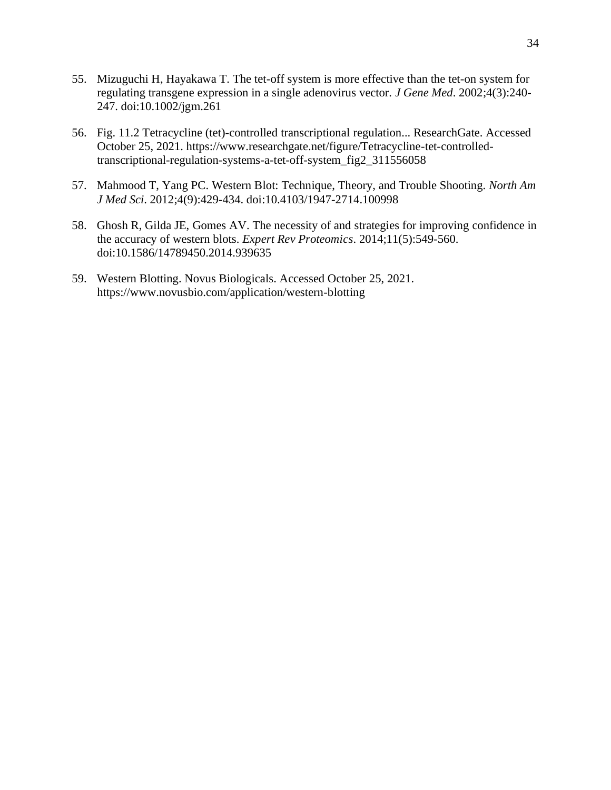- 55. Mizuguchi H, Hayakawa T. The tet-off system is more effective than the tet-on system for regulating transgene expression in a single adenovirus vector. *J Gene Med*. 2002;4(3):240- 247. doi:10.1002/jgm.261
- 56. Fig. 11.2 Tetracycline (tet)-controlled transcriptional regulation... ResearchGate. Accessed October 25, 2021. https://www.researchgate.net/figure/Tetracycline-tet-controlledtranscriptional-regulation-systems-a-tet-off-system\_fig2\_311556058
- 57. Mahmood T, Yang PC. Western Blot: Technique, Theory, and Trouble Shooting. *North Am J Med Sci*. 2012;4(9):429-434. doi:10.4103/1947-2714.100998
- 58. Ghosh R, Gilda JE, Gomes AV. The necessity of and strategies for improving confidence in the accuracy of western blots. *Expert Rev Proteomics*. 2014;11(5):549-560. doi:10.1586/14789450.2014.939635
- 59. Western Blotting. Novus Biologicals. Accessed October 25, 2021. https://www.novusbio.com/application/western-blotting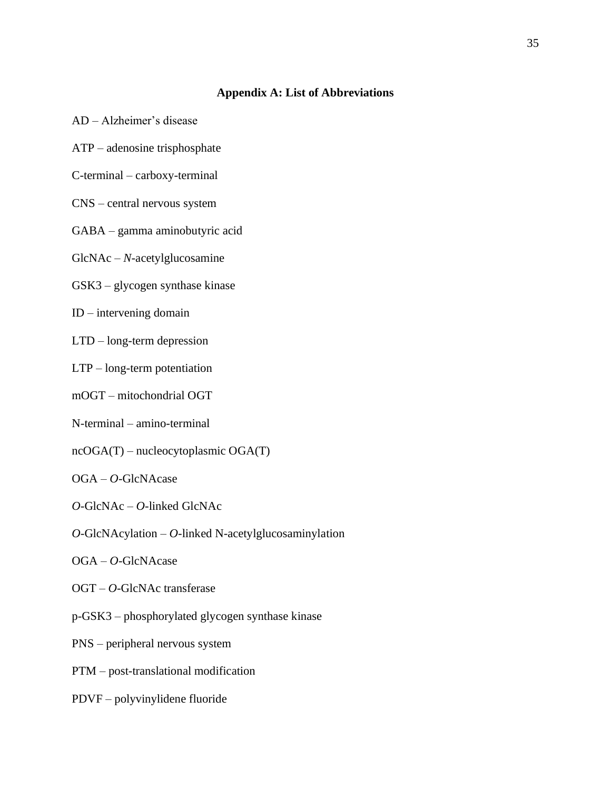### **Appendix A: List of Abbreviations**

- AD Alzheimer's disease
- ATP adenosine trisphosphate
- C-terminal carboxy-terminal
- CNS central nervous system
- GABA gamma aminobutyric acid
- GlcNAc *N*-acetylglucosamine
- GSK3 glycogen synthase kinase
- ID intervening domain
- LTD long-term depression
- LTP long-term potentiation
- mOGT mitochondrial OGT
- N-terminal amino-terminal
- ncOGA(T) nucleocytoplasmic OGA(T)
- OGA *O*-GlcNAcase
- *O*-GlcNAc *O*-linked GlcNAc
- *O*-GlcNAcylation *O*-linked N-acetylglucosaminylation
- OGA *O*-GlcNAcase
- OGT *O*-GlcNAc transferase
- p-GSK3 phosphorylated glycogen synthase kinase
- PNS peripheral nervous system
- PTM post-translational modification
- PDVF polyvinylidene fluoride